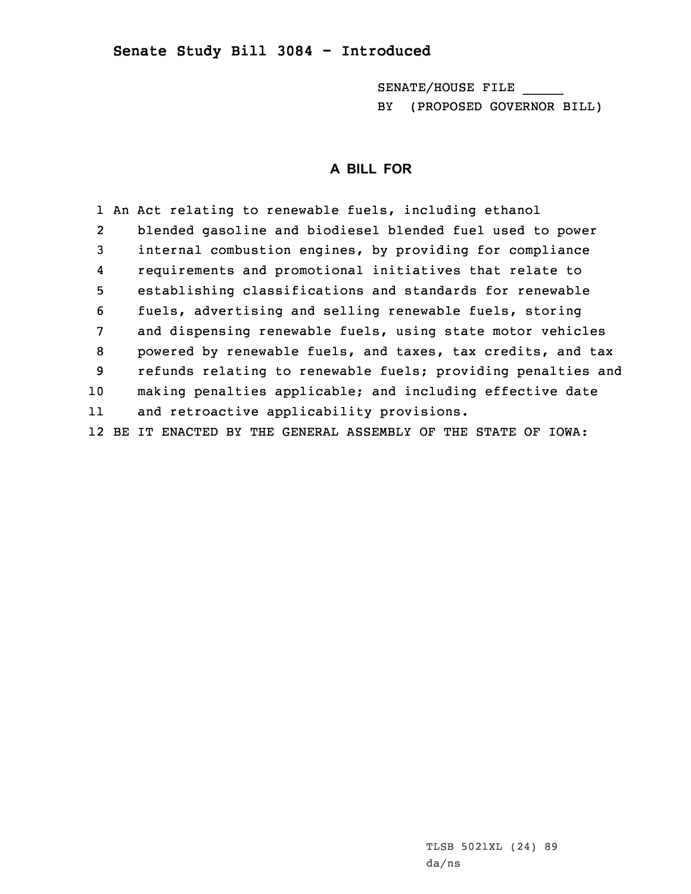## **Senate Study Bill 3084 - Introduced**

SENATE/HOUSE FILE \_\_\_\_\_ BY (PROPOSED GOVERNOR BILL)

## **A BILL FOR**

1 An Act relating to renewable fuels, including ethanol 2 blended gasoline and biodiesel blended fuel used to power 3 internal combustion engines, by providing for compliance 4 requirements and promotional initiatives that relate to 5 establishing classifications and standards for renewable 6 fuels, advertising and selling renewable fuels, storing 7 and dispensing renewable fuels, using state motor vehicles 8 powered by renewable fuels, and taxes, tax credits, and tax 9 refunds relating to renewable fuels; providing penalties and 10 making penalties applicable; and including effective date 11 and retroactive applicability provisions. 12 BE IT ENACTED BY THE GENERAL ASSEMBLY OF THE STATE OF IOWA: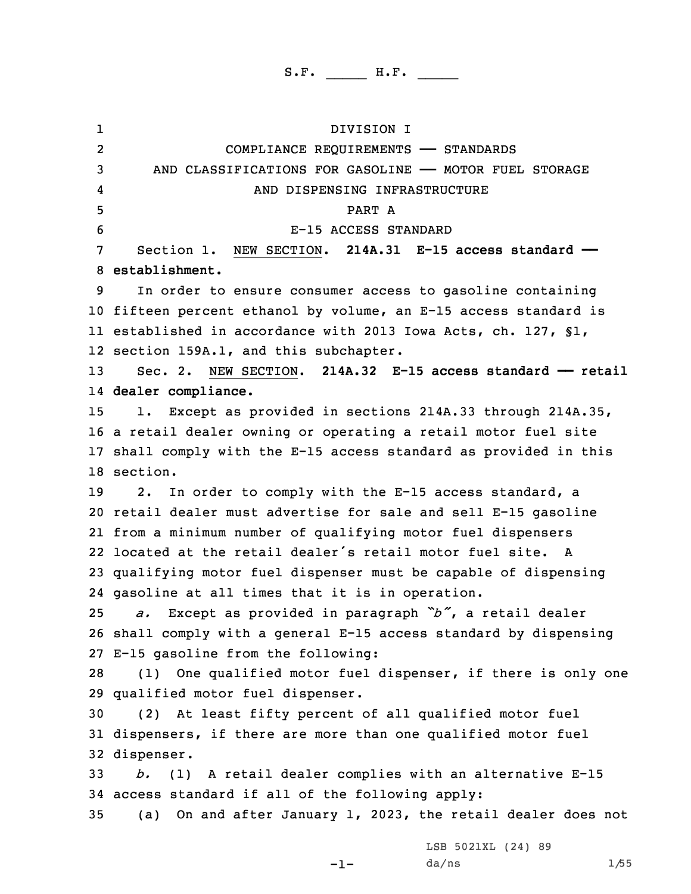1 DIVISION I 2 COMPLIANCE REQUIREMENTS —— STANDARDS AND CLASSIFICATIONS FOR GASOLINE —— MOTOR FUEL STORAGE 4 AND DISPENSING INFRASTRUCTURE 5 PART A E-15 ACCESS STANDARD Section 1. NEW SECTION. **214A.31 E-15 access standard —— establishment.** In order to ensure consumer access to gasoline containing fifteen percent ethanol by volume, an E-15 access standard is established in accordance with 2013 Iowa Acts, ch. 127, §1, section 159A.1, and this subchapter. Sec. 2. NEW SECTION. **214A.32 E-15 access standard —— retail dealer compliance.** 1. Except as provided in sections 214A.33 through 214A.35, <sup>a</sup> retail dealer owning or operating <sup>a</sup> retail motor fuel site shall comply with the E-15 access standard as provided in this 18 section. 19 2. In order to comply with the E-15 access standard, a retail dealer must advertise for sale and sell E-15 gasoline from <sup>a</sup> minimum number of qualifying motor fuel dispensers located at the retail dealer's retail motor fuel site. A qualifying motor fuel dispenser must be capable of dispensing gasoline at all times that it is in operation. *a.* Except as provided in paragraph *"b"*, <sup>a</sup> retail dealer shall comply with <sup>a</sup> general E-15 access standard by dispensing E-15 gasoline from the following: (1) One qualified motor fuel dispenser, if there is only one qualified motor fuel dispenser. (2) At least fifty percent of all qualified motor fuel dispensers, if there are more than one qualified motor fuel dispenser. *b.* (1) <sup>A</sup> retail dealer complies with an alternative E-15 access standard if all of the following apply: (a) On and after January 1, 2023, the retail dealer does not LSB 5021XL (24) 89

 $-1-$ 

da/ns 1/55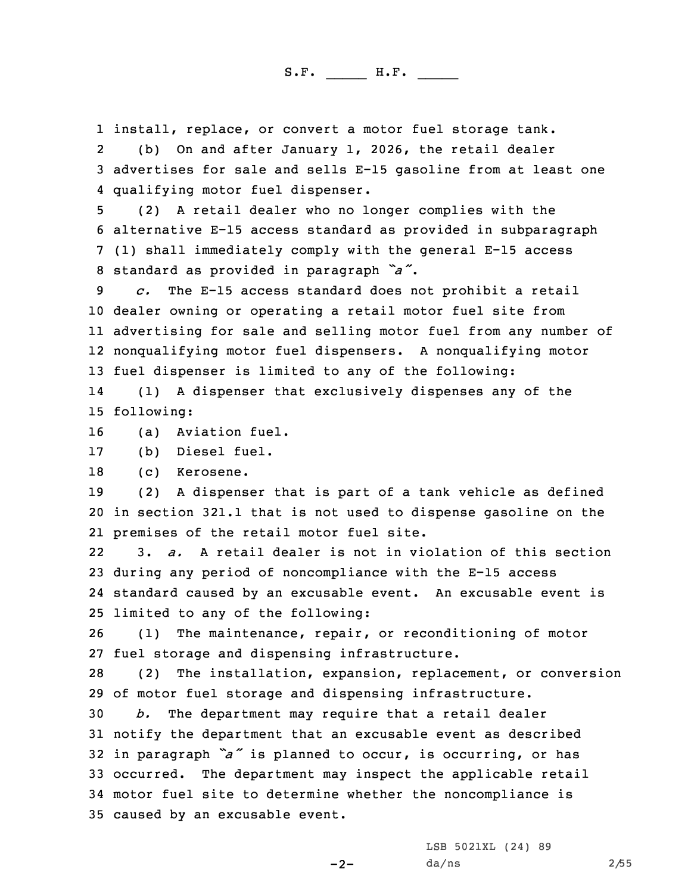1 install, replace, or convert <sup>a</sup> motor fuel storage tank.

2 (b) On and after January 1, 2026, the retail dealer 3 advertises for sale and sells E-15 gasoline from at least one 4 qualifying motor fuel dispenser.

 (2) <sup>A</sup> retail dealer who no longer complies with the alternative E-15 access standard as provided in subparagraph (1) shall immediately comply with the general E-15 access standard as provided in paragraph *"a"*.

 *c.* The E-15 access standard does not prohibit <sup>a</sup> retail dealer owning or operating <sup>a</sup> retail motor fuel site from advertising for sale and selling motor fuel from any number of nonqualifying motor fuel dispensers. <sup>A</sup> nonqualifying motor fuel dispenser is limited to any of the following:

14 (1) <sup>A</sup> dispenser that exclusively dispenses any of the 15 following:

16 (a) Aviation fuel.

17 (b) Diesel fuel.

18 (c) Kerosene.

19 (2) <sup>A</sup> dispenser that is part of <sup>a</sup> tank vehicle as defined 20 in section 321.1 that is not used to dispense gasoline on the 21 premises of the retail motor fuel site.

22 3. *a.* A retail dealer is not in violation of this section 23 during any period of noncompliance with the E-15 access 24 standard caused by an excusable event. An excusable event is 25 limited to any of the following:

26 (1) The maintenance, repair, or reconditioning of motor 27 fuel storage and dispensing infrastructure.

28 (2) The installation, expansion, replacement, or conversion 29 of motor fuel storage and dispensing infrastructure.

 *b.* The department may require that <sup>a</sup> retail dealer notify the department that an excusable event as described in paragraph *"a"* is planned to occur, is occurring, or has occurred. The department may inspect the applicable retail motor fuel site to determine whether the noncompliance is caused by an excusable event.

-2-

LSB 5021XL (24) 89 da/ns 2/55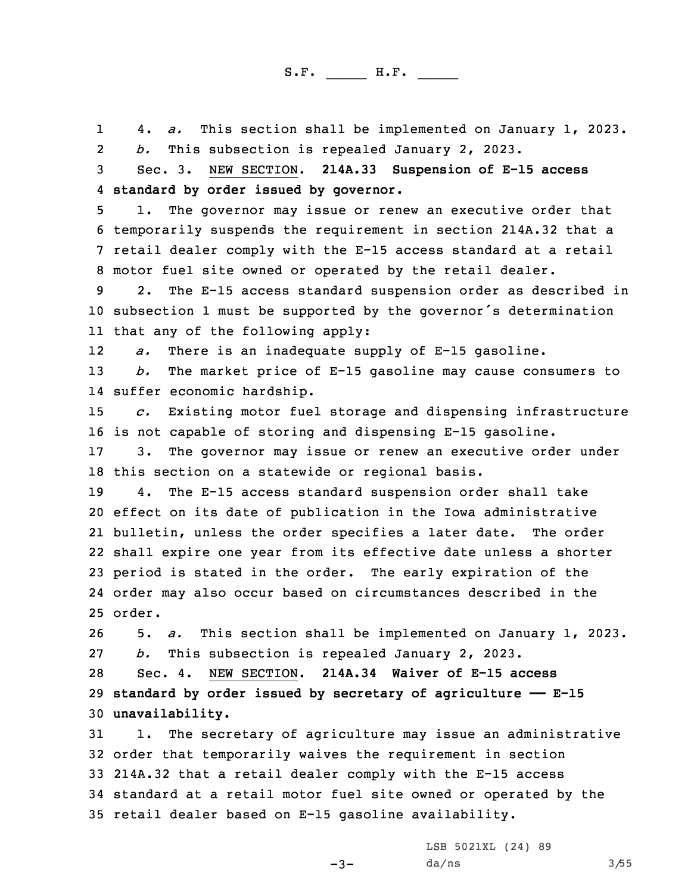1 4. *a.* This section shall be implemented on January 1, 2023. 2 *b.* This subsection is repealed January 2, 2023. Sec. 3. NEW SECTION. **214A.33 Suspension of E-15 access standard by order issued by governor.** 1. The governor may issue or renew an executive order that temporarily suspends the requirement in section 214A.32 that <sup>a</sup> retail dealer comply with the E-15 access standard at <sup>a</sup> retail motor fuel site owned or operated by the retail dealer. 2. The E-15 access standard suspension order as described in subsection <sup>1</sup> must be supported by the governor's determination that any of the following apply: 12 *a.* There is an inadequate supply of E-15 gasoline. *b.* The market price of E-15 gasoline may cause consumers to suffer economic hardship. *c.* Existing motor fuel storage and dispensing infrastructure is not capable of storing and dispensing E-15 gasoline. 3. The governor may issue or renew an executive order under this section on <sup>a</sup> statewide or regional basis. 4. The E-15 access standard suspension order shall take effect on its date of publication in the Iowa administrative bulletin, unless the order specifies <sup>a</sup> later date. The order shall expire one year from its effective date unless <sup>a</sup> shorter period is stated in the order. The early expiration of the order may also occur based on circumstances described in the 25 order. 5. *a.* This section shall be implemented on January 1, 2023. *b.* This subsection is repealed January 2, 2023. Sec. 4. NEW SECTION. **214A.34 Waiver of E-15 access standard by order issued by secretary of agriculture —— E-15 unavailability.** 1. The secretary of agriculture may issue an administrative order that temporarily waives the requirement in section 214A.32 that <sup>a</sup> retail dealer comply with the E-15 access standard at <sup>a</sup> retail motor fuel site owned or operated by the retail dealer based on E-15 gasoline availability.

 $-3-$ 

LSB 5021XL (24) 89  $da/ns$  3/55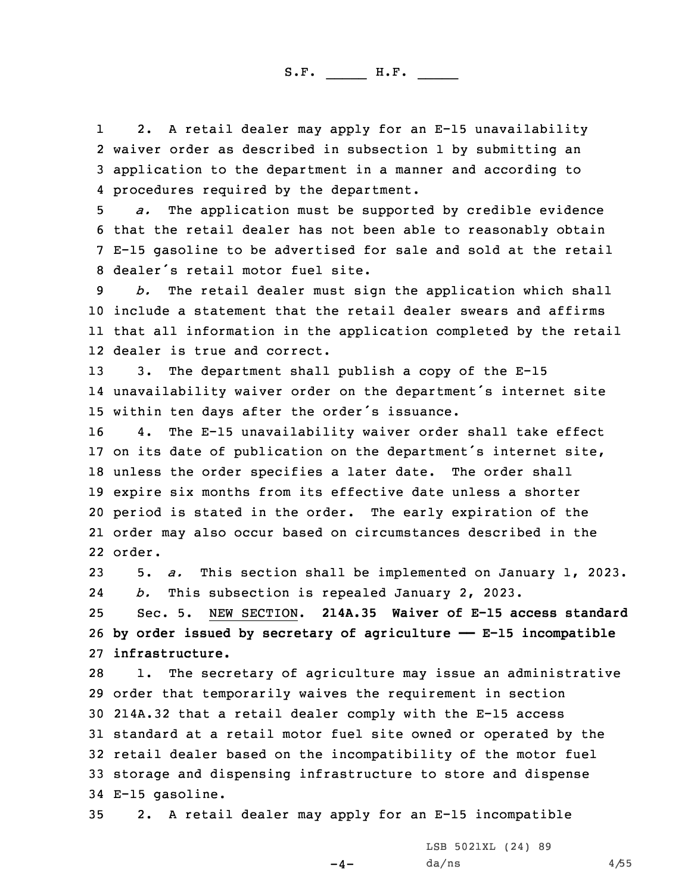1 2. <sup>A</sup> retail dealer may apply for an E-15 unavailability 2 waiver order as described in subsection 1 by submitting an 3 application to the department in <sup>a</sup> manner and according to 4 procedures required by the department.

 *a.* The application must be supported by credible evidence that the retail dealer has not been able to reasonably obtain E-15 gasoline to be advertised for sale and sold at the retail dealer's retail motor fuel site.

 *b.* The retail dealer must sign the application which shall include <sup>a</sup> statement that the retail dealer swears and affirms that all information in the application completed by the retail dealer is true and correct.

13 3. The department shall publish <sup>a</sup> copy of the E-15 14 unavailability waiver order on the department's internet site <sup>15</sup> within ten days after the order's issuance.

 4. The E-15 unavailability waiver order shall take effect on its date of publication on the department's internet site, unless the order specifies <sup>a</sup> later date. The order shall expire six months from its effective date unless <sup>a</sup> shorter period is stated in the order. The early expiration of the order may also occur based on circumstances described in the 22 order.

23 5. *a.* This section shall be implemented on January 1, 2023. 24*b.* This subsection is repealed January 2, 2023.

25 Sec. 5. NEW SECTION. **214A.35 Waiver of E-15 access standard** 26 **by order issued by secretary of agriculture —— E-15 incompatible** 27 **infrastructure.**

 1. The secretary of agriculture may issue an administrative order that temporarily waives the requirement in section 214A.32 that <sup>a</sup> retail dealer comply with the E-15 access standard at <sup>a</sup> retail motor fuel site owned or operated by the retail dealer based on the incompatibility of the motor fuel storage and dispensing infrastructure to store and dispense E-15 gasoline.

35 2. <sup>A</sup> retail dealer may apply for an E-15 incompatible

 $-4-$ 

LSB 5021XL (24) 89  $da/ns$  4/55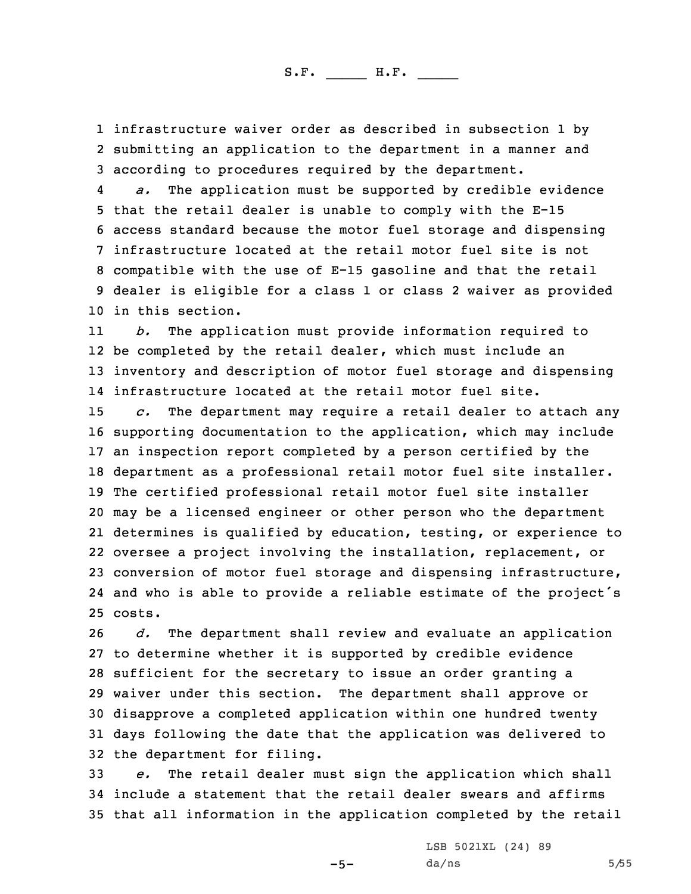1 infrastructure waiver order as described in subsection 1 by 2 submitting an application to the department in <sup>a</sup> manner and 3 according to procedures required by the department.

4 *a.* The application must be supported by credible evidence that the retail dealer is unable to comply with the E-15 access standard because the motor fuel storage and dispensing infrastructure located at the retail motor fuel site is not compatible with the use of E-15 gasoline and that the retail dealer is eligible for <sup>a</sup> class 1 or class 2 waiver as provided in this section.

11 *b.* The application must provide information required to 12 be completed by the retail dealer, which must include an 13 inventory and description of motor fuel storage and dispensing 14 infrastructure located at the retail motor fuel site.

 *c.* The department may require <sup>a</sup> retail dealer to attach any supporting documentation to the application, which may include an inspection report completed by <sup>a</sup> person certified by the department as <sup>a</sup> professional retail motor fuel site installer. The certified professional retail motor fuel site installer may be <sup>a</sup> licensed engineer or other person who the department determines is qualified by education, testing, or experience to oversee <sup>a</sup> project involving the installation, replacement, or conversion of motor fuel storage and dispensing infrastructure, and who is able to provide <sup>a</sup> reliable estimate of the project's 25 costs.

 *d.* The department shall review and evaluate an application to determine whether it is supported by credible evidence sufficient for the secretary to issue an order granting <sup>a</sup> waiver under this section. The department shall approve or disapprove <sup>a</sup> completed application within one hundred twenty days following the date that the application was delivered to the department for filing.

33 *e.* The retail dealer must sign the application which shall 34 include <sup>a</sup> statement that the retail dealer swears and affirms 35 that all information in the application completed by the retail

 $-5-$ 

LSB 5021XL (24) 89  $da/ns$  5/55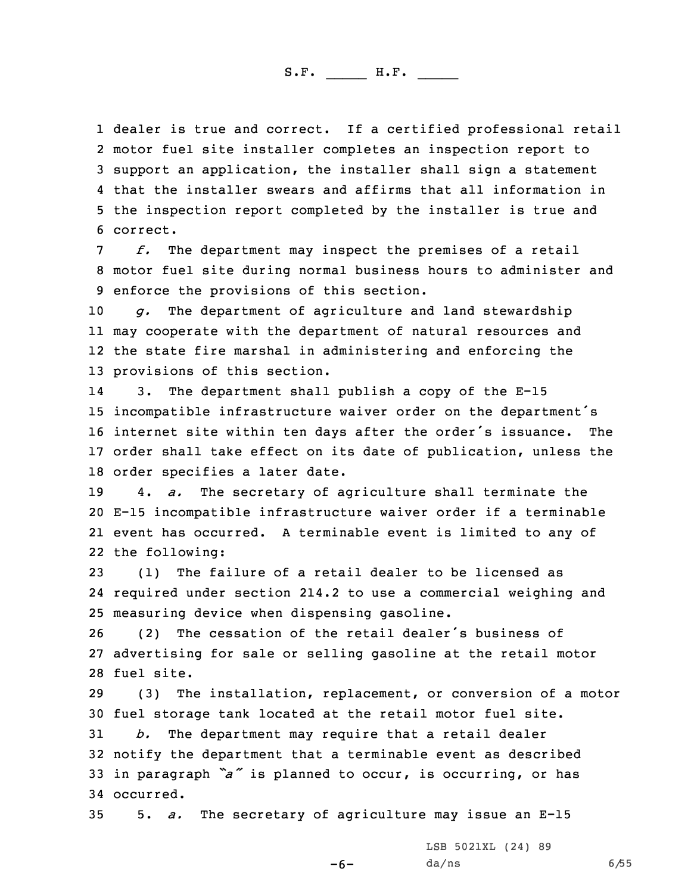dealer is true and correct. If <sup>a</sup> certified professional retail motor fuel site installer completes an inspection report to support an application, the installer shall sign <sup>a</sup> statement that the installer swears and affirms that all information in the inspection report completed by the installer is true and 6 correct.

7 *f.* The department may inspect the premises of <sup>a</sup> retail 8 motor fuel site during normal business hours to administer and 9 enforce the provisions of this section.

 *g.* The department of agriculture and land stewardship may cooperate with the department of natural resources and the state fire marshal in administering and enforcing the provisions of this section.

14 3. The department shall publish <sup>a</sup> copy of the E-15 incompatible infrastructure waiver order on the department's internet site within ten days after the order's issuance. The order shall take effect on its date of publication, unless the order specifies <sup>a</sup> later date.

 4. *a.* The secretary of agriculture shall terminate the E-15 incompatible infrastructure waiver order if <sup>a</sup> terminable event has occurred. <sup>A</sup> terminable event is limited to any of the following:

23 (1) The failure of <sup>a</sup> retail dealer to be licensed as 24 required under section 214.2 to use <sup>a</sup> commercial weighing and 25 measuring device when dispensing gasoline.

26 (2) The cessation of the retail dealer's business of 27 advertising for sale or selling gasoline at the retail motor 28 fuel site.

29 (3) The installation, replacement, or conversion of <sup>a</sup> motor 30 fuel storage tank located at the retail motor fuel site.

 *b.* The department may require that <sup>a</sup> retail dealer notify the department that <sup>a</sup> terminable event as described in paragraph *"a"* is planned to occur, is occurring, or has occurred.

35 5. *a.* The secretary of agriculture may issue an E-15

-6-

LSB 5021XL (24) 89  $da/ns$  6/55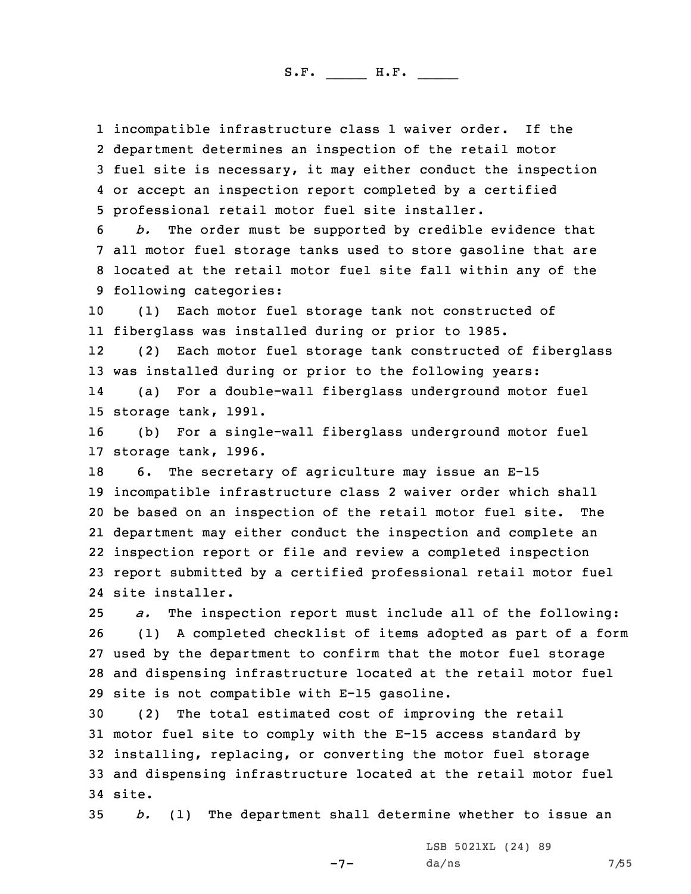incompatible infrastructure class 1 waiver order. If the department determines an inspection of the retail motor fuel site is necessary, it may either conduct the inspection or accept an inspection report completed by <sup>a</sup> certified professional retail motor fuel site installer.

 *b.* The order must be supported by credible evidence that all motor fuel storage tanks used to store gasoline that are located at the retail motor fuel site fall within any of the following categories:

10 (1) Each motor fuel storage tank not constructed of 11 fiberglass was installed during or prior to 1985.

12 (2) Each motor fuel storage tank constructed of fiberglass 13 was installed during or prior to the following years:

14 (a) For <sup>a</sup> double-wall fiberglass underground motor fuel 15 storage tank, 1991.

16 (b) For <sup>a</sup> single-wall fiberglass underground motor fuel 17 storage tank, 1996.

 6. The secretary of agriculture may issue an E-15 incompatible infrastructure class 2 waiver order which shall be based on an inspection of the retail motor fuel site. The department may either conduct the inspection and complete an inspection report or file and review <sup>a</sup> completed inspection report submitted by <sup>a</sup> certified professional retail motor fuel site installer.

 *a.* The inspection report must include all of the following: (1) <sup>A</sup> completed checklist of items adopted as part of <sup>a</sup> form used by the department to confirm that the motor fuel storage and dispensing infrastructure located at the retail motor fuel site is not compatible with E-15 gasoline.

 (2) The total estimated cost of improving the retail motor fuel site to comply with the E-15 access standard by installing, replacing, or converting the motor fuel storage and dispensing infrastructure located at the retail motor fuel 34 site.

35 *b.* (1) The department shall determine whether to issue an

 $-7-$ 

LSB 5021XL (24) 89 da/ns 7/55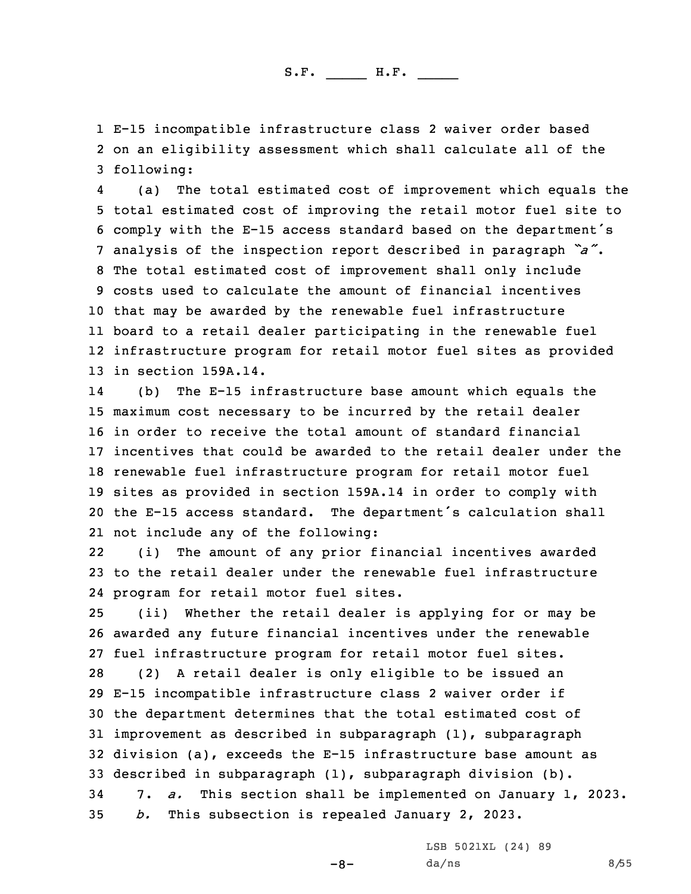1 E-15 incompatible infrastructure class 2 waiver order based 2 on an eligibility assessment which shall calculate all of the 3 following:

4 (a) The total estimated cost of improvement which equals the total estimated cost of improving the retail motor fuel site to comply with the E-15 access standard based on the department's analysis of the inspection report described in paragraph *"a"*. The total estimated cost of improvement shall only include costs used to calculate the amount of financial incentives that may be awarded by the renewable fuel infrastructure board to <sup>a</sup> retail dealer participating in the renewable fuel infrastructure program for retail motor fuel sites as provided in section 159A.14.

14 (b) The E-15 infrastructure base amount which equals the maximum cost necessary to be incurred by the retail dealer in order to receive the total amount of standard financial incentives that could be awarded to the retail dealer under the renewable fuel infrastructure program for retail motor fuel sites as provided in section 159A.14 in order to comply with the E-15 access standard. The department's calculation shall not include any of the following:

22 (i) The amount of any prior financial incentives awarded 23 to the retail dealer under the renewable fuel infrastructure 24 program for retail motor fuel sites.

 (ii) Whether the retail dealer is applying for or may be awarded any future financial incentives under the renewable fuel infrastructure program for retail motor fuel sites. (2) <sup>A</sup> retail dealer is only eligible to be issued an E-15 incompatible infrastructure class 2 waiver order if the department determines that the total estimated cost of improvement as described in subparagraph (1), subparagraph division (a), exceeds the E-15 infrastructure base amount as described in subparagraph (1), subparagraph division (b). 7. *a.* This section shall be implemented on January 1, 2023. *b.* This subsection is repealed January 2, 2023.

LSB 5021XL (24) 89

-8-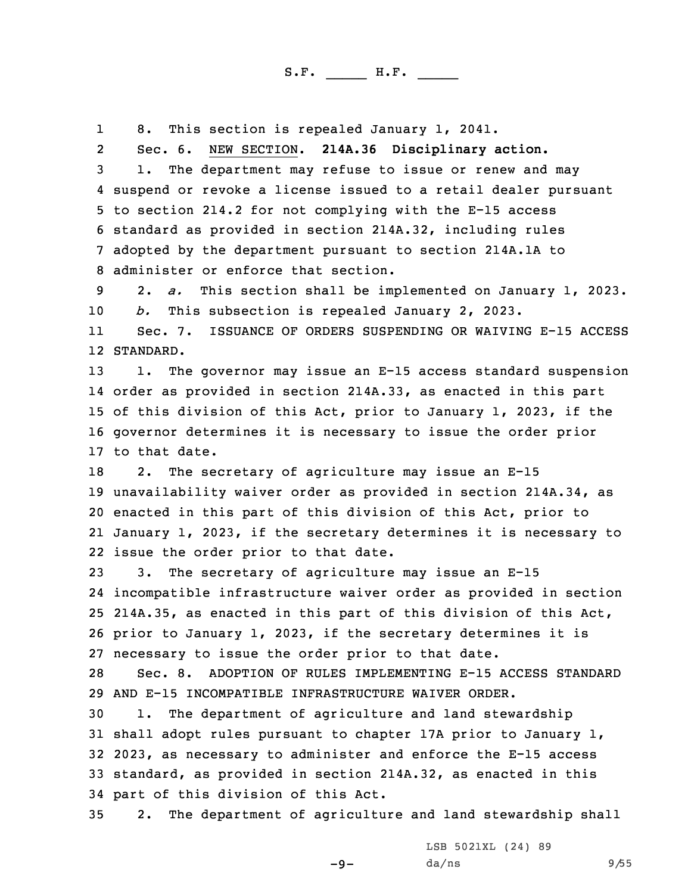18. This section is repealed January 1, 2041.

2 Sec. 6. NEW SECTION. **214A.36 Disciplinary action.** 1. The department may refuse to issue or renew and may suspend or revoke <sup>a</sup> license issued to <sup>a</sup> retail dealer pursuant to section 214.2 for not complying with the E-15 access standard as provided in section 214A.32, including rules adopted by the department pursuant to section 214A.1A to administer or enforce that section.

9 2. *a.* This section shall be implemented on January 1, 2023. 10 *b.* This subsection is repealed January 2, 2023.

11 Sec. 7. ISSUANCE OF ORDERS SUSPENDING OR WAIVING E-15 ACCESS 12 STANDARD.

 1. The governor may issue an E-15 access standard suspension order as provided in section 214A.33, as enacted in this part of this division of this Act, prior to January 1, 2023, if the governor determines it is necessary to issue the order prior to that date.

 2. The secretary of agriculture may issue an E-15 unavailability waiver order as provided in section 214A.34, as enacted in this part of this division of this Act, prior to January 1, 2023, if the secretary determines it is necessary to issue the order prior to that date.

 3. The secretary of agriculture may issue an E-15 incompatible infrastructure waiver order as provided in section 214A.35, as enacted in this part of this division of this Act, prior to January 1, 2023, if the secretary determines it is necessary to issue the order prior to that date.

28 Sec. 8. ADOPTION OF RULES IMPLEMENTING E-15 ACCESS STANDARD 29 AND E-15 INCOMPATIBLE INFRASTRUCTURE WAIVER ORDER.

 1. The department of agriculture and land stewardship shall adopt rules pursuant to chapter 17A prior to January 1, 2023, as necessary to administer and enforce the E-15 access standard, as provided in section 214A.32, as enacted in this part of this division of this Act.

35 2. The department of agriculture and land stewardship shall

 $-9-$ 

LSB 5021XL (24) 89 da/ns 9/55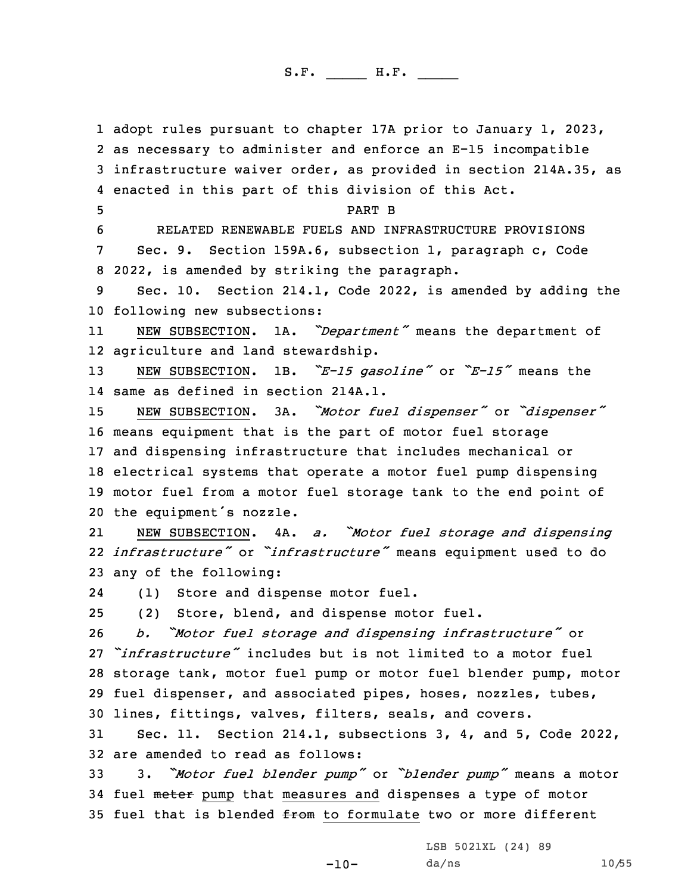adopt rules pursuant to chapter 17A prior to January 1, 2023, as necessary to administer and enforce an E-15 incompatible infrastructure waiver order, as provided in section 214A.35, as enacted in this part of this division of this Act. 5 PART B RELATED RENEWABLE FUELS AND INFRASTRUCTURE PROVISIONS Sec. 9. Section 159A.6, subsection 1, paragraph c, Code 2022, is amended by striking the paragraph. Sec. 10. Section 214.1, Code 2022, is amended by adding the following new subsections: 11 NEW SUBSECTION. 1A. *"Department"* means the department of agriculture and land stewardship. NEW SUBSECTION. 1B. *"E-15 gasoline"* or *"E-15"* means the same as defined in section 214A.1. NEW SUBSECTION. 3A. *"Motor fuel dispenser"* or *"dispenser"* means equipment that is the part of motor fuel storage and dispensing infrastructure that includes mechanical or electrical systems that operate <sup>a</sup> motor fuel pump dispensing motor fuel from <sup>a</sup> motor fuel storage tank to the end point of the equipment's nozzle. 21 NEW SUBSECTION. 4A. *a. "Motor fuel storage and dispensing infrastructure"* or *"infrastructure"* means equipment used to do any of the following: 24 (1) Store and dispense motor fuel. (2) Store, blend, and dispense motor fuel. *b. "Motor fuel storage and dispensing infrastructure"* or *"infrastructure"* includes but is not limited to <sup>a</sup> motor fuel storage tank, motor fuel pump or motor fuel blender pump, motor fuel dispenser, and associated pipes, hoses, nozzles, tubes, lines, fittings, valves, filters, seals, and covers. Sec. 11. Section 214.1, subsections 3, 4, and 5, Code 2022, are amended to read as follows: 3. *"Motor fuel blender pump"* or *"blender pump"* means <sup>a</sup> motor 34 fuel meter pump that measures and dispenses a type of motor

35 fuel that is blended  $f$ rom to formulate two or more different

LSB 5021XL (24) 89

 $-10-$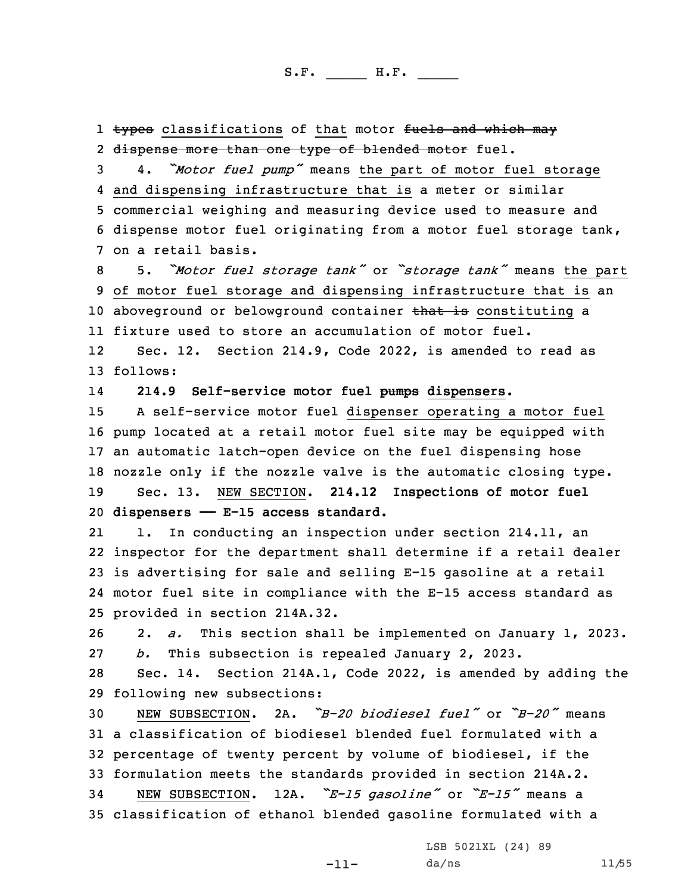1 <del>types</del> classifications of that motor <del>fuels and which may</del> 2 <del>dispense more than one type of blended motor</del> fuel. 4. *"Motor fuel pump"* means the part of motor fuel storage and dispensing infrastructure that is <sup>a</sup> meter or similar commercial weighing and measuring device used to measure and dispense motor fuel originating from <sup>a</sup> motor fuel storage tank, on <sup>a</sup> retail basis. 5. *"Motor fuel storage tank"* or *"storage tank"* means the part of motor fuel storage and dispensing infrastructure that is an 10 aboveground or belowground container that is constituting a fixture used to store an accumulation of motor fuel. 12 Sec. 12. Section 214.9, Code 2022, is amended to read as 13 follows: 14 **214.9 Self-service motor fuel pumps dispensers.** <sup>A</sup> self-service motor fuel dispenser operating <sup>a</sup> motor fuel pump located at <sup>a</sup> retail motor fuel site may be equipped with an automatic latch-open device on the fuel dispensing hose nozzle only if the nozzle valve is the automatic closing type. Sec. 13. NEW SECTION. **214.12 Inspections of motor fuel dispensers —— E-15 access standard.** 21 1. In conducting an inspection under section 214.11, an inspector for the department shall determine if <sup>a</sup> retail dealer is advertising for sale and selling E-15 gasoline at <sup>a</sup> retail motor fuel site in compliance with the E-15 access standard as provided in section 214A.32. 2. *a.* This section shall be implemented on January 1, 2023. *b.* This subsection is repealed January 2, 2023. Sec. 14. Section 214A.1, Code 2022, is amended by adding the following new subsections: NEW SUBSECTION. 2A. *"B-20 biodiesel fuel"* or *"B-20"* means <sup>a</sup> classification of biodiesel blended fuel formulated with <sup>a</sup> percentage of twenty percent by volume of biodiesel, if the formulation meets the standards provided in section 214A.2. NEW SUBSECTION. 12A. *"E-15 gasoline"* or *"E-15"* means <sup>a</sup> classification of ethanol blended gasoline formulated with <sup>a</sup>

LSB 5021XL (24) 89

-11-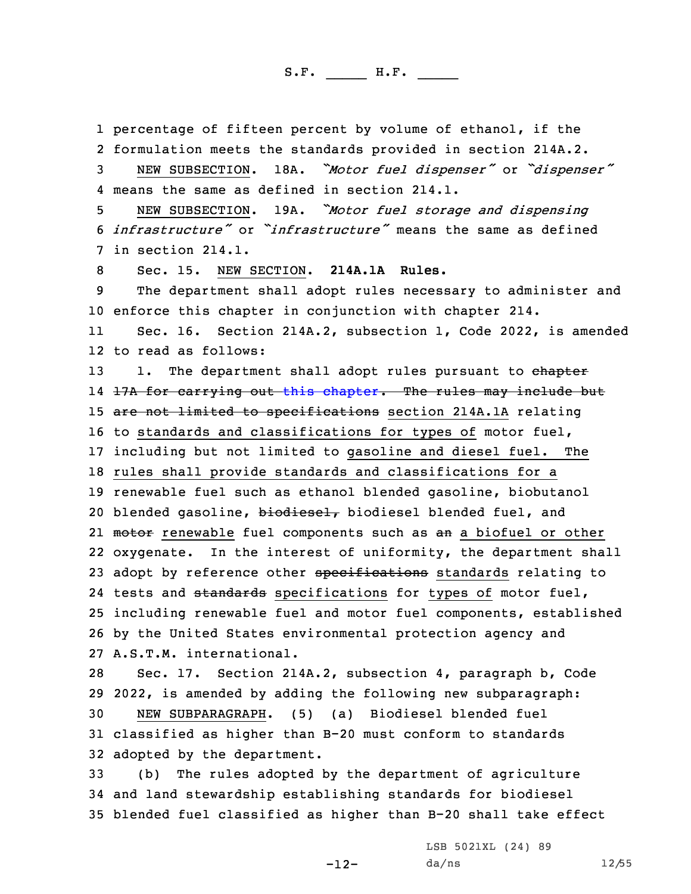1 percentage of fifteen percent by volume of ethanol, if the 2 formulation meets the standards provided in section 214A.2.

<sup>3</sup> NEW SUBSECTION. 18A. *"Motor fuel dispenser"* or *"dispenser"* 4 means the same as defined in section 214.1.

<sup>5</sup> NEW SUBSECTION. 19A. *"Motor fuel storage and dispensing* 6 *infrastructure"* or *"infrastructure"* means the same as defined 7 in section 214.1.

8 Sec. 15. NEW SECTION. **214A.1A Rules.**

9 The department shall adopt rules necessary to administer and 10 enforce this chapter in conjunction with chapter 214.

11 Sec. 16. Section 214A.2, subsection 1, Code 2022, is amended 12 to read as follows:

13 1. The department shall adopt rules pursuant to chapter 14 <del>17A for carrying out this [chapter](https://www.legis.iowa.gov/docs/code/2022/214A.pdf). The rules may include but</del> 15 are not limited to specifications section 214A.1A relating 16 to standards and classifications for types of motor fuel, 17 including but not limited to gasoline and diesel fuel. The 18 rules shall provide standards and classifications for <sup>a</sup> 19 renewable fuel such as ethanol blended gasoline, biobutanol 20 blended gasoline, biodiesel, biodiesel blended fuel, and 21 <del>motor</del> renewable fuel components such as <del>an</del> a biofuel or other 22 oxygenate. In the interest of uniformity, the department shall 23 adopt by reference other specifications standards relating to 24 tests and <del>standards</del> specifications for types of motor fuel, 25 including renewable fuel and motor fuel components, established 26 by the United States environmental protection agency and 27 A.S.T.M. international.

 Sec. 17. Section 214A.2, subsection 4, paragraph b, Code 2022, is amended by adding the following new subparagraph: NEW SUBPARAGRAPH. (5) (a) Biodiesel blended fuel classified as higher than B-20 must conform to standards adopted by the department.

33 (b) The rules adopted by the department of agriculture 34 and land stewardship establishing standards for biodiesel 35 blended fuel classified as higher than B-20 shall take effect

-12-

LSB 5021XL (24) 89 da/ns 12/55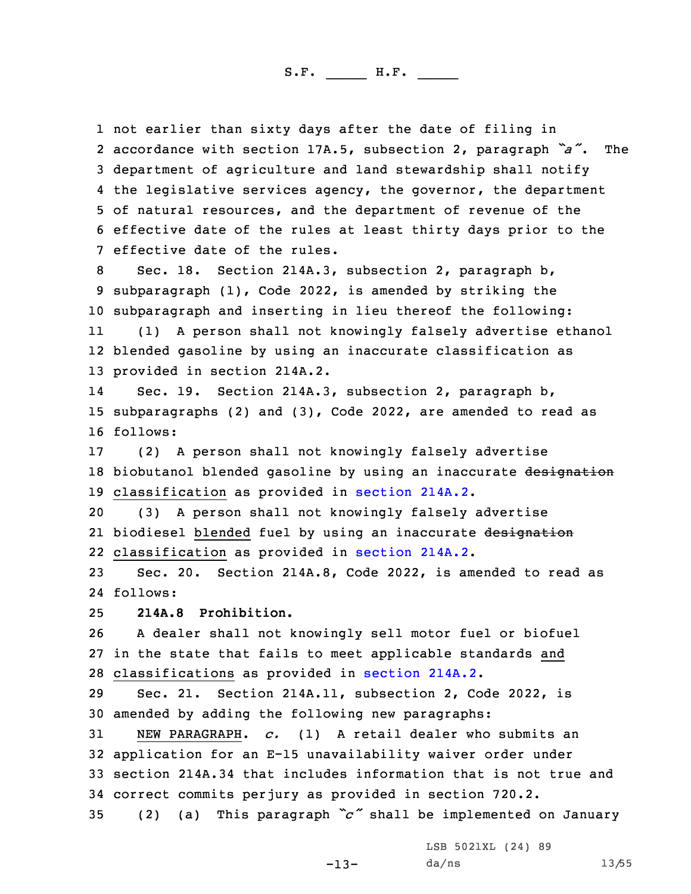not earlier than sixty days after the date of filing in accordance with section 17A.5, subsection 2, paragraph *"a"*. The department of agriculture and land stewardship shall notify the legislative services agency, the governor, the department of natural resources, and the department of revenue of the effective date of the rules at least thirty days prior to the effective date of the rules.

8 Sec. 18. Section 214A.3, subsection 2, paragraph b, 9 subparagraph (1), Code 2022, is amended by striking the 10 subparagraph and inserting in lieu thereof the following:

11 (1) <sup>A</sup> person shall not knowingly falsely advertise ethanol 12 blended gasoline by using an inaccurate classification as 13 provided in section 214A.2.

14 Sec. 19. Section 214A.3, subsection 2, paragraph b, 15 subparagraphs (2) and (3), Code 2022, are amended to read as 16 follows:

17 (2) <sup>A</sup> person shall not knowingly falsely advertise 18 biobutanol blended gasoline by using an inaccurate designation 19 classification as provided in [section](https://www.legis.iowa.gov/docs/code/2022/214A.2.pdf) 214A.2.

20 (3) <sup>A</sup> person shall not knowingly falsely advertise 21 biodiesel blended fuel by using an inaccurate <del>designation</del> 22 classification as provided in [section](https://www.legis.iowa.gov/docs/code/2022/214A.2.pdf) 214A.2.

23 Sec. 20. Section 214A.8, Code 2022, is amended to read as 24 follows:

25 **214A.8 Prohibition.**

26 <sup>A</sup> dealer shall not knowingly sell motor fuel or biofuel 27 in the state that fails to meet applicable standards and 28 classifications as provided in [section](https://www.legis.iowa.gov/docs/code/2022/214A.2.pdf) 214A.2.

29 Sec. 21. Section 214A.11, subsection 2, Code 2022, is 30 amended by adding the following new paragraphs:

 NEW PARAGRAPH. *c.* (1) <sup>A</sup> retail dealer who submits an application for an E-15 unavailability waiver order under section 214A.34 that includes information that is not true and correct commits perjury as provided in section 720.2. (2) (a) This paragraph *"c"* shall be implemented on January

LSB 5021XL (24) 89

-13-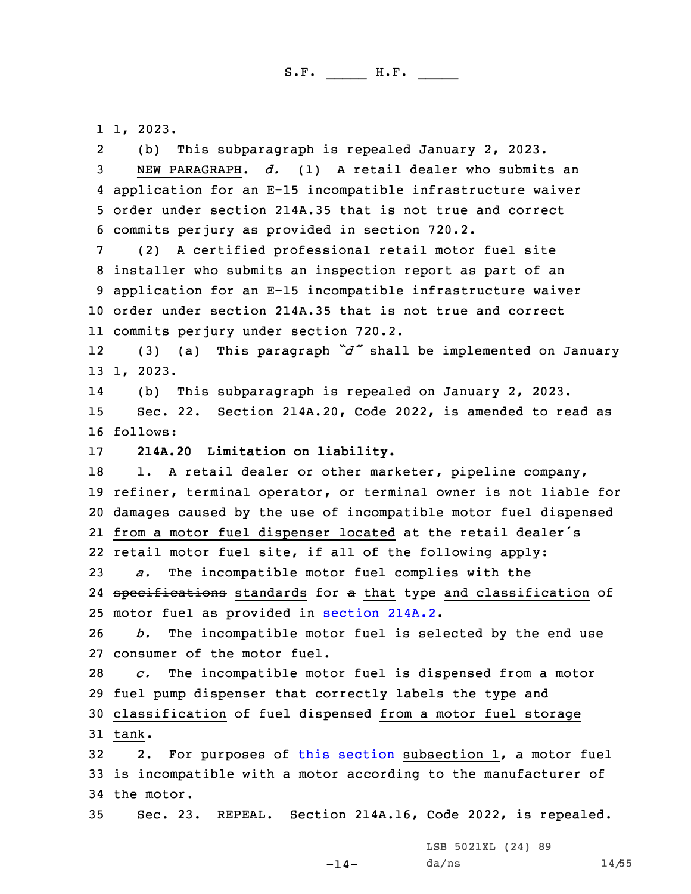1 1, 2023.

2(b) This subparagraph is repealed January 2, 2023.

 NEW PARAGRAPH. *d.* (1) <sup>A</sup> retail dealer who submits an application for an E-15 incompatible infrastructure waiver order under section 214A.35 that is not true and correct commits perjury as provided in section 720.2.

 (2) <sup>A</sup> certified professional retail motor fuel site installer who submits an inspection report as part of an application for an E-15 incompatible infrastructure waiver order under section 214A.35 that is not true and correct commits perjury under section 720.2.

12 (3) (a) This paragraph *"d"* shall be implemented on January 13 1, 2023.

14 (b) This subparagraph is repealed on January 2, 2023. 15 Sec. 22. Section 214A.20, Code 2022, is amended to read as 16 follows:

17 **214A.20 Limitation on liability.**

18 1. A retail dealer or other marketer, pipeline company, refiner, terminal operator, or terminal owner is not liable for damages caused by the use of incompatible motor fuel dispensed from <sup>a</sup> motor fuel dispenser located at the retail dealer's retail motor fuel site, if all of the following apply: *a.* The incompatible motor fuel complies with the

24 specifications standards for a that type and classification of 25 motor fuel as provided in [section](https://www.legis.iowa.gov/docs/code/2022/214A.2.pdf) 214A.2.

26 *b.* The incompatible motor fuel is selected by the end use 27 consumer of the motor fuel.

28 *c.* The incompatible motor fuel is dispensed from <sup>a</sup> motor 29 fuel pump dispenser that correctly labels the type and 30 classification of fuel dispensed from <sup>a</sup> motor fuel storage 31 tank.

32 2. For purposes of this [section](https://www.legis.iowa.gov/docs/code/2022/214A.20.pdf) subsection 1, a motor fuel 33 is incompatible with <sup>a</sup> motor according to the manufacturer of 34 the motor.

35 Sec. 23. REPEAL. Section 214A.16, Code 2022, is repealed.

 $-14-$ 

LSB 5021XL (24) 89 da/ns 14/55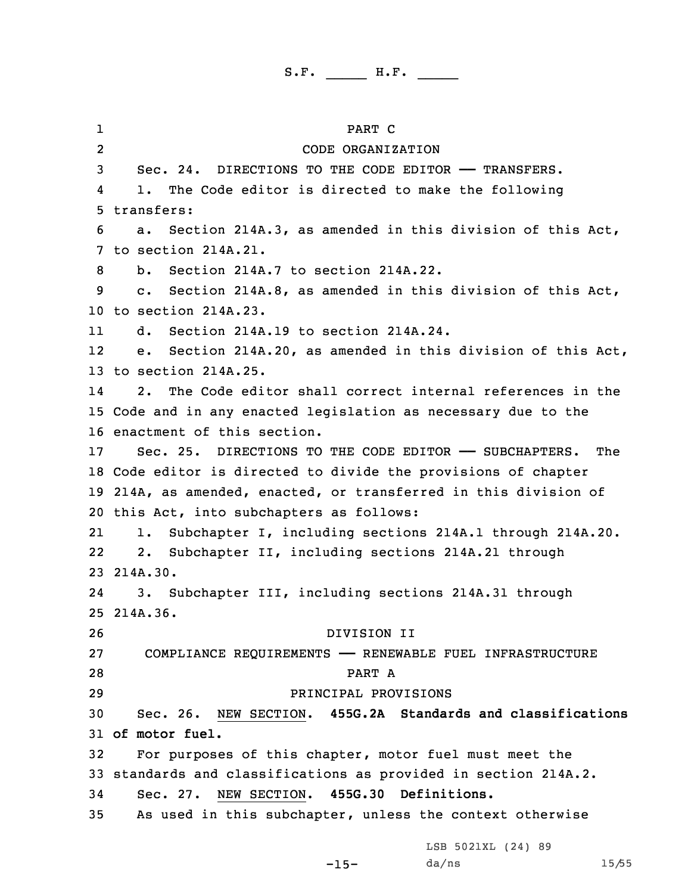1 PART C 2 CODE ORGANIZATION 3 Sec. 24. DIRECTIONS TO THE CODE EDITOR —— TRANSFERS. 4 1. The Code editor is directed to make the following 5 transfers: 6 a. Section 214A.3, as amended in this division of this Act, 7 to section 214A.21. 8 b. Section 214A.7 to section 214A.22. 9 c. Section 214A.8, as amended in this division of this Act, 10 to section 214A.23. 11 d. Section 214A.19 to section 214A.24. 12 e. Section 214A.20, as amended in this division of this Act, 13 to section 214A.25. 14 2. The Code editor shall correct internal references in the 15 Code and in any enacted legislation as necessary due to the 16 enactment of this section. 17 Sec. 25. DIRECTIONS TO THE CODE EDITOR —— SUBCHAPTERS. The 18 Code editor is directed to divide the provisions of chapter 19 214A, as amended, enacted, or transferred in this division of 20 this Act, into subchapters as follows: 21 1. Subchapter I, including sections 214A.1 through 214A.20. 22 2. Subchapter II, including sections 214A.21 through 23 214A.30. 24 3. Subchapter III, including sections 214A.31 through 25 214A.36. 26 DIVISION II 27 COMPLIANCE REQUIREMENTS —— RENEWABLE FUEL INFRASTRUCTURE 28 PART A 29 PRINCIPAL PROVISIONS 30 Sec. 26. NEW SECTION. **455G.2A Standards and classifications** 31 **of motor fuel.** 32 For purposes of this chapter, motor fuel must meet the 33 standards and classifications as provided in section 214A.2. 34 Sec. 27. NEW SECTION. **455G.30 Definitions.** 35 As used in this subchapter, unless the context otherwise LSB 5021XL (24) 89

-15-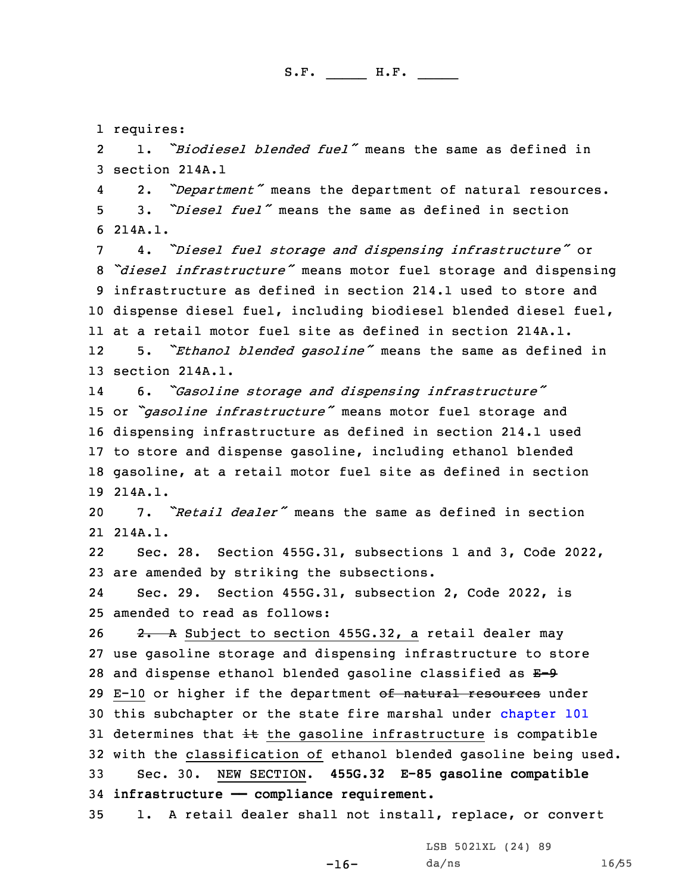1 requires:

2 1. *"Biodiesel blended fuel"* means the same as defined in 3 section 214A.1

4 2. *"Department"* means the department of natural resources. 5 3. *"Diesel fuel"* means the same as defined in section 6 214A.1.

 4. *"Diesel fuel storage and dispensing infrastructure"* or *"diesel infrastructure"* means motor fuel storage and dispensing infrastructure as defined in section 214.1 used to store and dispense diesel fuel, including biodiesel blended diesel fuel, at <sup>a</sup> retail motor fuel site as defined in section 214A.1. 125. *"Ethanol blended gasoline"* means the same as defined in

13 section 214A.1.

14 6. *"Gasoline storage and dispensing infrastructure"* <sup>15</sup> or *"gasoline infrastructure"* means motor fuel storage and 16 dispensing infrastructure as defined in section 214.1 used 17 to store and dispense gasoline, including ethanol blended 18 gasoline, at <sup>a</sup> retail motor fuel site as defined in section 19 214A.1.

20 7. *"Retail dealer"* means the same as defined in section 21 214A.1.

22 Sec. 28. Section 455G.31, subsections 1 and 3, Code 2022, 23 are amended by striking the subsections.

24 Sec. 29. Section 455G.31, subsection 2, Code 2022, is 25 amended to read as follows:

26 2. A Subject to section 455G.32, a retail dealer may 27 use gasoline storage and dispensing infrastructure to store 28 and dispense ethanol blended gasoline classified as  $E-9$ 29 E-10 or higher if the department of natural resources under 30 this subchapter or the state fire marshal under [chapter](https://www.legis.iowa.gov/docs/code/2022/101.pdf) 101 31 determines that  $\pm\text{t}$  the gasoline infrastructure is compatible 32 with the classification of ethanol blended gasoline being used. 33 Sec. 30. NEW SECTION. **455G.32 E-85 gasoline compatible** 34 **infrastructure —— compliance requirement.**

35 1. <sup>A</sup> retail dealer shall not install, replace, or convert

-16-

LSB 5021XL (24) 89 da/ns 16/55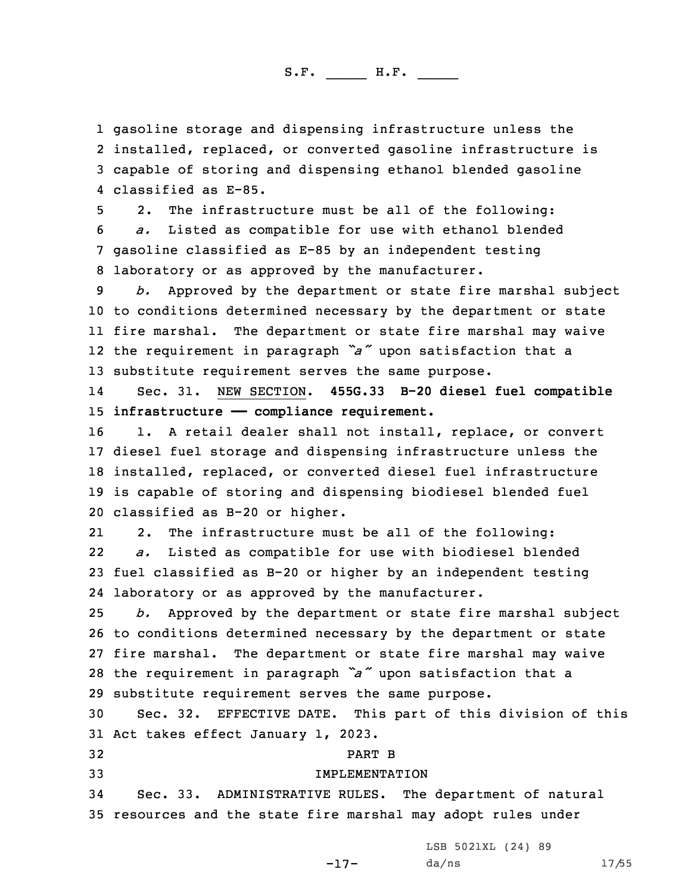gasoline storage and dispensing infrastructure unless the installed, replaced, or converted gasoline infrastructure is capable of storing and dispensing ethanol blended gasoline classified as E-85.

 2. The infrastructure must be all of the following: *a.* Listed as compatible for use with ethanol blended gasoline classified as E-85 by an independent testing laboratory or as approved by the manufacturer.

 *b.* Approved by the department or state fire marshal subject to conditions determined necessary by the department or state fire marshal. The department or state fire marshal may waive the requirement in paragraph *"a"* upon satisfaction that <sup>a</sup> substitute requirement serves the same purpose.

14 Sec. 31. NEW SECTION. **455G.33 B-20 diesel fuel compatible** 15 infrastructure - compliance requirement.

16 1. A retail dealer shall not install, replace, or convert diesel fuel storage and dispensing infrastructure unless the installed, replaced, or converted diesel fuel infrastructure is capable of storing and dispensing biodiesel blended fuel classified as B-20 or higher.

21 2. The infrastructure must be all of the following: 22 *a.* Listed as compatible for use with biodiesel blended 23 fuel classified as B-20 or higher by an independent testing 24 laboratory or as approved by the manufacturer.

 *b.* Approved by the department or state fire marshal subject to conditions determined necessary by the department or state fire marshal. The department or state fire marshal may waive the requirement in paragraph *"a"* upon satisfaction that <sup>a</sup> substitute requirement serves the same purpose.

30 Sec. 32. EFFECTIVE DATE. This part of this division of this 31 Act takes effect January 1, 2023.

32 PART B

### 33 IMPLEMENTATION

34 Sec. 33. ADMINISTRATIVE RULES. The department of natural 35 resources and the state fire marshal may adopt rules under

LSB 5021XL (24) 89

-17-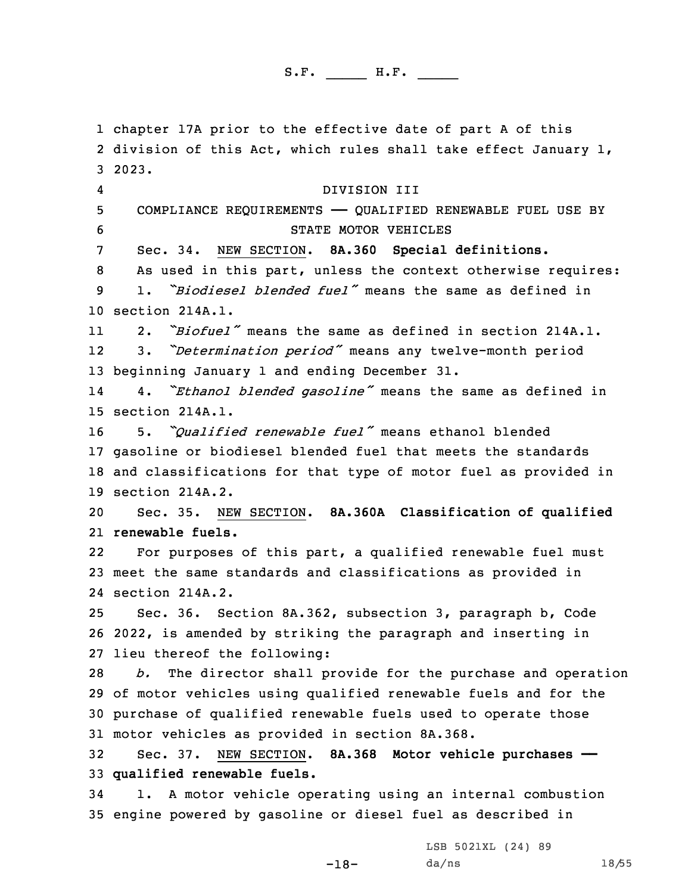chapter 17A prior to the effective date of part <sup>A</sup> of this division of this Act, which rules shall take effect January 1, 3 2023. 4 DIVISION III COMPLIANCE REQUIREMENTS —— QUALIFIED RENEWABLE FUEL USE BY STATE MOTOR VEHICLES Sec. 34. NEW SECTION. **8A.360 Special definitions.** As used in this part, unless the context otherwise requires: 1. *"Biodiesel blended fuel"* means the same as defined in section 214A.1. 11 2. *"Biofuel"* means the same as defined in section 214A.1. 12 3. *"Determination period"* means any twelve-month period beginning January 1 and ending December 31. 14 4. *"Ethanol blended gasoline"* means the same as defined in section 214A.1. 5. *"Qualified renewable fuel"* means ethanol blended gasoline or biodiesel blended fuel that meets the standards and classifications for that type of motor fuel as provided in section 214A.2. Sec. 35. NEW SECTION. **8A.360A Classification of qualified renewable fuels.** 22 For purposes of this part, <sup>a</sup> qualified renewable fuel must meet the same standards and classifications as provided in section 214A.2. Sec. 36. Section 8A.362, subsection 3, paragraph b, Code 2022, is amended by striking the paragraph and inserting in lieu thereof the following: *b.* The director shall provide for the purchase and operation of motor vehicles using qualified renewable fuels and for the purchase of qualified renewable fuels used to operate those motor vehicles as provided in section 8A.368. Sec. 37. NEW SECTION. **8A.368 Motor vehicle purchases —— qualified renewable fuels.** 1. <sup>A</sup> motor vehicle operating using an internal combustion engine powered by gasoline or diesel fuel as described in

-18-

LSB 5021XL (24) 89 da/ns 18/55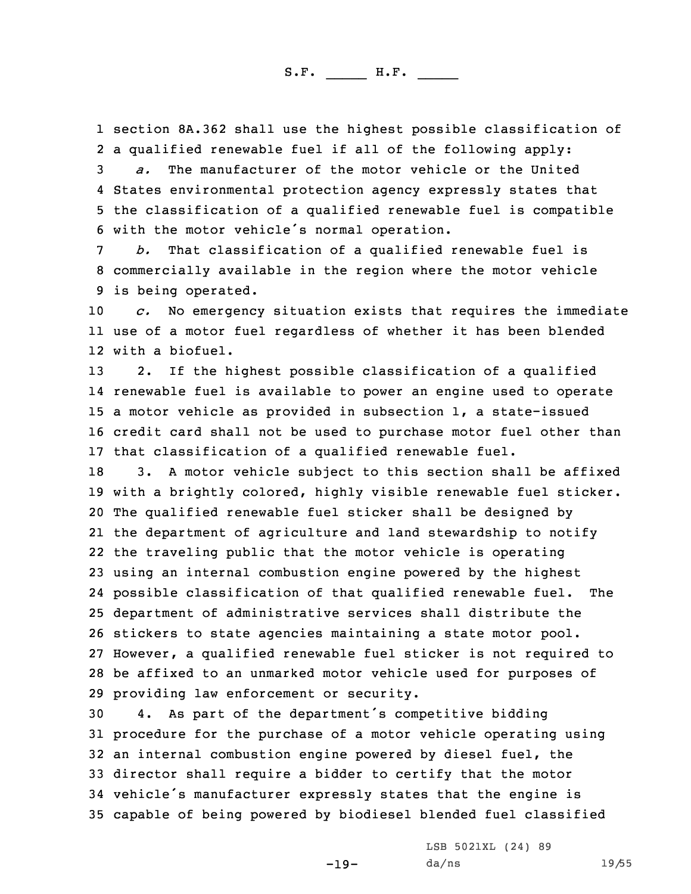1 section 8A.362 shall use the highest possible classification of 2 <sup>a</sup> qualified renewable fuel if all of the following apply:

 *a.* The manufacturer of the motor vehicle or the United States environmental protection agency expressly states that the classification of <sup>a</sup> qualified renewable fuel is compatible with the motor vehicle's normal operation.

7 *b.* That classification of <sup>a</sup> qualified renewable fuel is 8 commercially available in the region where the motor vehicle 9 is being operated.

10 *c.* No emergency situation exists that requires the immediate 11 use of <sup>a</sup> motor fuel regardless of whether it has been blended 12 with <sup>a</sup> biofuel.

 2. If the highest possible classification of <sup>a</sup> qualified renewable fuel is available to power an engine used to operate <sup>a</sup> motor vehicle as provided in subsection 1, <sup>a</sup> state-issued credit card shall not be used to purchase motor fuel other than that classification of <sup>a</sup> qualified renewable fuel.

 3. <sup>A</sup> motor vehicle subject to this section shall be affixed with <sup>a</sup> brightly colored, highly visible renewable fuel sticker. The qualified renewable fuel sticker shall be designed by the department of agriculture and land stewardship to notify the traveling public that the motor vehicle is operating using an internal combustion engine powered by the highest possible classification of that qualified renewable fuel. The department of administrative services shall distribute the stickers to state agencies maintaining <sup>a</sup> state motor pool. However, <sup>a</sup> qualified renewable fuel sticker is not required to be affixed to an unmarked motor vehicle used for purposes of providing law enforcement or security.

 4. As part of the department's competitive bidding procedure for the purchase of <sup>a</sup> motor vehicle operating using an internal combustion engine powered by diesel fuel, the director shall require <sup>a</sup> bidder to certify that the motor vehicle's manufacturer expressly states that the engine is capable of being powered by biodiesel blended fuel classified

-19-

LSB 5021XL (24) 89 da/ns 19/55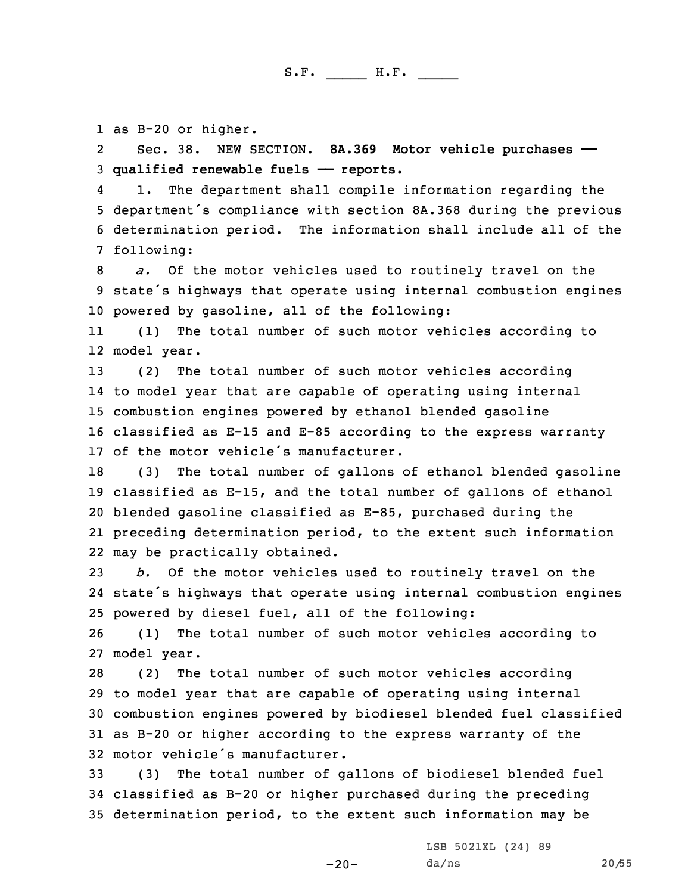1 as B-20 or higher.

2 Sec. 38. NEW SECTION. **8A.369 Motor vehicle purchases ——** 3 **qualified renewable fuels —— reports.**

4 1. The department shall compile information regarding the <sup>5</sup> department's compliance with section 8A.368 during the previous 6 determination period. The information shall include all of the 7 following:

8 *a.* Of the motor vehicles used to routinely travel on the <sup>9</sup> state's highways that operate using internal combustion engines 10 powered by gasoline, all of the following:

11 (1) The total number of such motor vehicles according to 12 model year.

 (2) The total number of such motor vehicles according to model year that are capable of operating using internal combustion engines powered by ethanol blended gasoline classified as E-15 and E-85 according to the express warranty of the motor vehicle's manufacturer.

 (3) The total number of gallons of ethanol blended gasoline classified as E-15, and the total number of gallons of ethanol blended gasoline classified as E-85, purchased during the preceding determination period, to the extent such information may be practically obtained.

23 *b.* Of the motor vehicles used to routinely travel on the 24 state's highways that operate using internal combustion engines 25 powered by diesel fuel, all of the following:

26 (1) The total number of such motor vehicles according to 27 model year.

 (2) The total number of such motor vehicles according to model year that are capable of operating using internal combustion engines powered by biodiesel blended fuel classified as B-20 or higher according to the express warranty of the motor vehicle's manufacturer.

33 (3) The total number of gallons of biodiesel blended fuel 34 classified as B-20 or higher purchased during the preceding 35 determination period, to the extent such information may be

-20-

LSB 5021XL (24) 89 da/ns 20/55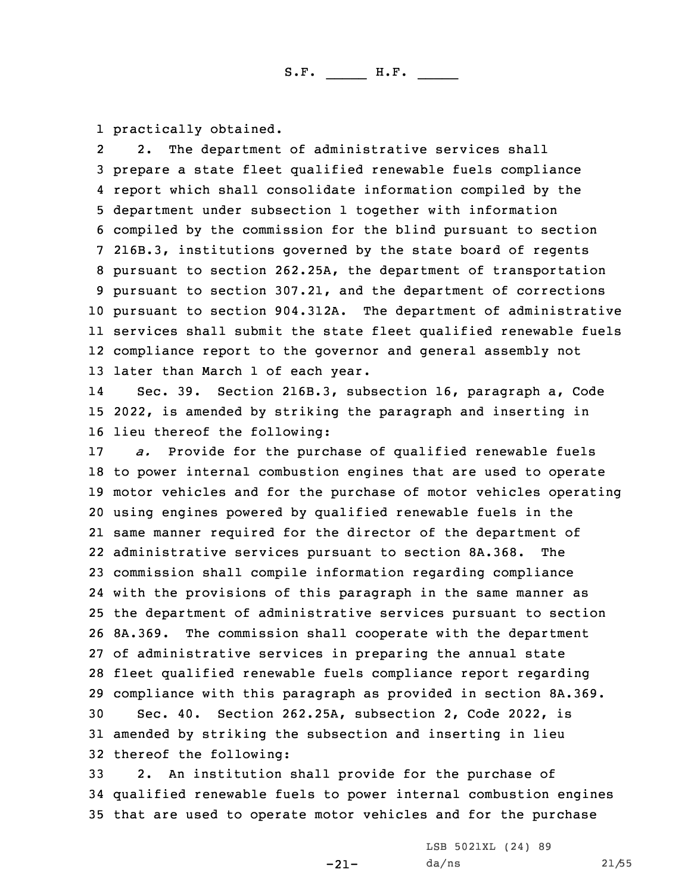1 practically obtained.

2 2. The department of administrative services shall prepare <sup>a</sup> state fleet qualified renewable fuels compliance report which shall consolidate information compiled by the department under subsection 1 together with information compiled by the commission for the blind pursuant to section 216B.3, institutions governed by the state board of regents pursuant to section 262.25A, the department of transportation pursuant to section 307.21, and the department of corrections pursuant to section 904.312A. The department of administrative services shall submit the state fleet qualified renewable fuels compliance report to the governor and general assembly not later than March 1 of each year.

14 Sec. 39. Section 216B.3, subsection 16, paragraph a, Code 15 2022, is amended by striking the paragraph and inserting in 16 lieu thereof the following:

 *a.* Provide for the purchase of qualified renewable fuels to power internal combustion engines that are used to operate motor vehicles and for the purchase of motor vehicles operating using engines powered by qualified renewable fuels in the same manner required for the director of the department of administrative services pursuant to section 8A.368. The commission shall compile information regarding compliance with the provisions of this paragraph in the same manner as the department of administrative services pursuant to section 8A.369. The commission shall cooperate with the department of administrative services in preparing the annual state fleet qualified renewable fuels compliance report regarding compliance with this paragraph as provided in section 8A.369. Sec. 40. Section 262.25A, subsection 2, Code 2022, is amended by striking the subsection and inserting in lieu thereof the following:

33 2. An institution shall provide for the purchase of 34 qualified renewable fuels to power internal combustion engines 35 that are used to operate motor vehicles and for the purchase

-21-

LSB 5021XL (24) 89 da/ns 21/55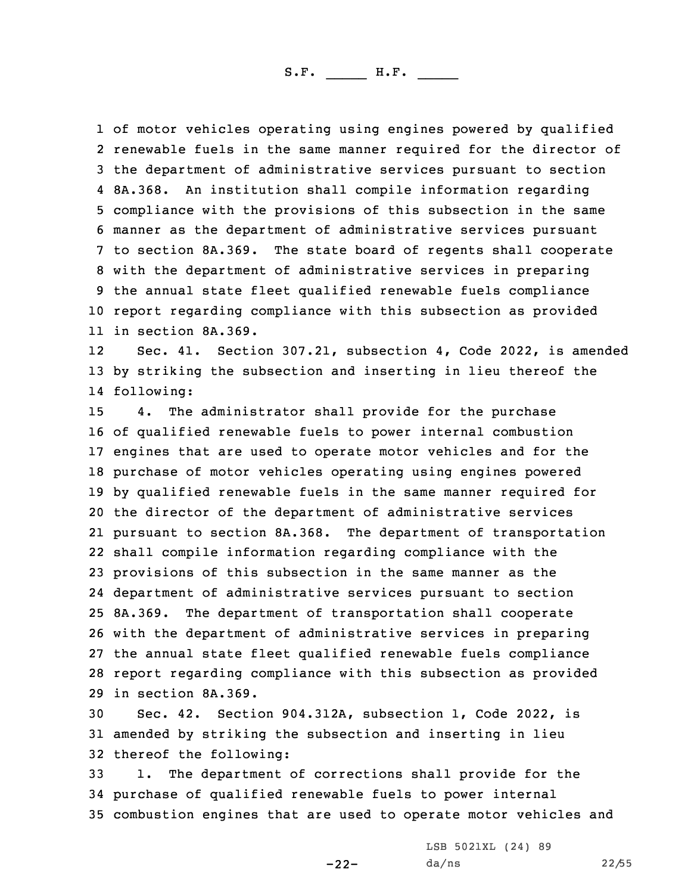of motor vehicles operating using engines powered by qualified renewable fuels in the same manner required for the director of the department of administrative services pursuant to section 8A.368. An institution shall compile information regarding compliance with the provisions of this subsection in the same manner as the department of administrative services pursuant to section 8A.369. The state board of regents shall cooperate with the department of administrative services in preparing the annual state fleet qualified renewable fuels compliance report regarding compliance with this subsection as provided in section 8A.369.

12 Sec. 41. Section 307.21, subsection 4, Code 2022, is amended 13 by striking the subsection and inserting in lieu thereof the 14 following:

 4. The administrator shall provide for the purchase of qualified renewable fuels to power internal combustion engines that are used to operate motor vehicles and for the purchase of motor vehicles operating using engines powered by qualified renewable fuels in the same manner required for the director of the department of administrative services pursuant to section 8A.368. The department of transportation shall compile information regarding compliance with the provisions of this subsection in the same manner as the department of administrative services pursuant to section 8A.369. The department of transportation shall cooperate with the department of administrative services in preparing the annual state fleet qualified renewable fuels compliance report regarding compliance with this subsection as provided in section 8A.369.

30 Sec. 42. Section 904.312A, subsection 1, Code 2022, is 31 amended by striking the subsection and inserting in lieu 32 thereof the following:

33 1. The department of corrections shall provide for the 34 purchase of qualified renewable fuels to power internal 35 combustion engines that are used to operate motor vehicles and

-22-

LSB 5021XL (24) 89 da/ns 22/55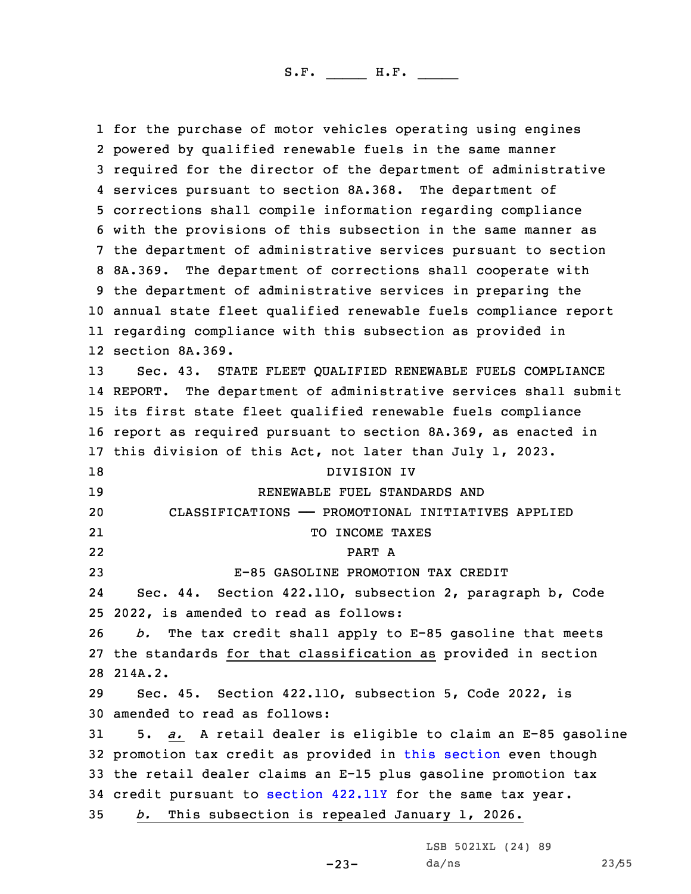for the purchase of motor vehicles operating using engines powered by qualified renewable fuels in the same manner required for the director of the department of administrative services pursuant to section 8A.368. The department of corrections shall compile information regarding compliance with the provisions of this subsection in the same manner as the department of administrative services pursuant to section 8A.369. The department of corrections shall cooperate with the department of administrative services in preparing the annual state fleet qualified renewable fuels compliance report regarding compliance with this subsection as provided in section 8A.369. Sec. 43. STATE FLEET QUALIFIED RENEWABLE FUELS COMPLIANCE REPORT. The department of administrative services shall submit its first state fleet qualified renewable fuels compliance report as required pursuant to section 8A.369, as enacted in this division of this Act, not later than July 1, 2023. DIVISION IV RENEWABLE FUEL STANDARDS AND CLASSIFICATIONS —— PROMOTIONAL INITIATIVES APPLIED 21 TO INCOME TAXES 22 PART A E-85 GASOLINE PROMOTION TAX CREDIT 24 Sec. 44. Section 422.11O, subsection 2, paragraph b, Code 2022, is amended to read as follows: *b.* The tax credit shall apply to E-85 gasoline that meets the standards for that classification as provided in section 28 214A.2. Sec. 45. Section 422.11O, subsection 5, Code 2022, is amended to read as follows: 5. *a.* <sup>A</sup> retail dealer is eligible to claim an E-85 gasoline promotion tax credit as provided in this [section](https://www.legis.iowa.gov/docs/code/2022/422.11O.pdf) even though the retail dealer claims an E-15 plus gasoline promotion tax credit pursuant to [section](https://www.legis.iowa.gov/docs/code/2022/422.11Y.pdf) 422.11Y for the same tax year. *b.* This subsection is repealed January 1, 2026.

LSB 5021XL (24) 89

 $-23-$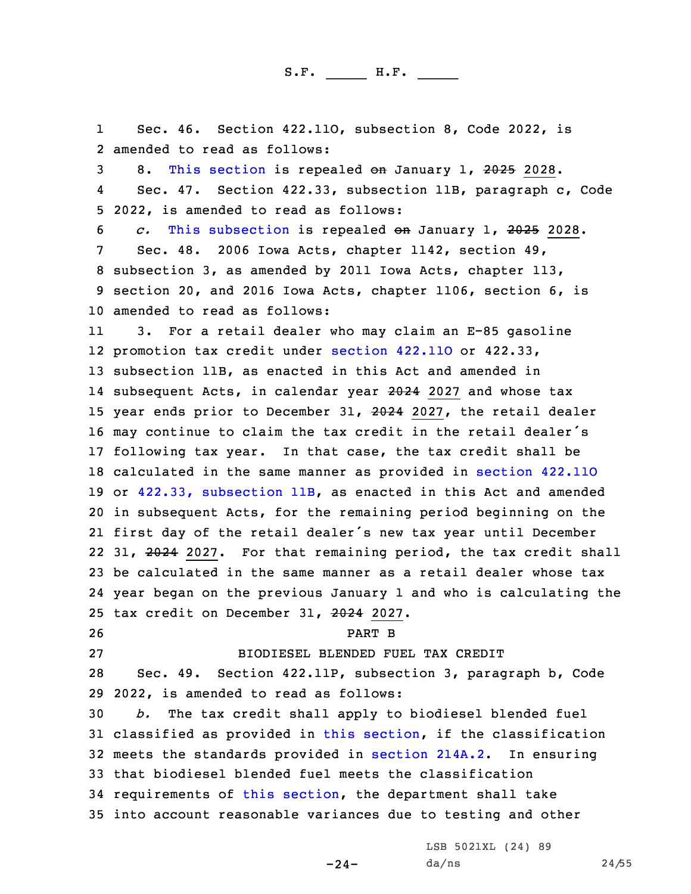1 Sec. 46. Section 422.11O, subsection 8, Code 2022, is 2 amended to read as follows:

3 8. This [section](https://www.legis.iowa.gov/docs/code/2022/422.11O.pdf) is repealed on January 1, 2025 2028.

4 Sec. 47. Section 422.33, subsection 11B, paragraph c, Code 5 2022, is amended to read as follows:

 *c.* This [subsection](https://www.legis.iowa.gov/docs/code/2022/422.33.pdf) is repealed on January 1, 2025 2028. Sec. 48. 2006 Iowa Acts, chapter 1142, section 49, subsection 3, as amended by 2011 Iowa Acts, chapter 113, section 20, and 2016 Iowa Acts, chapter 1106, section 6, is amended to read as follows:

11 3. For <sup>a</sup> retail dealer who may claim an E-85 gasoline promotion tax credit under [section](https://www.legis.iowa.gov/docs/code/2022/422.11O.pdf) 422.11O or 422.33, subsection 11B, as enacted in this Act and amended in subsequent Acts, in calendar year 2024 2027 and whose tax 15 year ends prior to December 31, 2024 2027, the retail dealer may continue to claim the tax credit in the retail dealer's following tax year. In that case, the tax credit shall be calculated in the same manner as provided in [section](https://www.legis.iowa.gov/docs/code/2022/422.11O.pdf) 422.11O or 422.33, [subsection](https://www.legis.iowa.gov/docs/code/2022/422.33.pdf) 11B, as enacted in this Act and amended in subsequent Acts, for the remaining period beginning on the first day of the retail dealer's new tax year until December 22 31, 2024 2027. For that remaining period, the tax credit shall be calculated in the same manner as <sup>a</sup> retail dealer whose tax year began on the previous January 1 and who is calculating the tax credit on December 31, 2024 2027.

26 PART B

27 BIODIESEL BLENDED FUEL TAX CREDIT

28 Sec. 49. Section 422.11P, subsection 3, paragraph b, Code 29 2022, is amended to read as follows:

 *b.* The tax credit shall apply to biodiesel blended fuel classified as provided in this [section](https://www.legis.iowa.gov/docs/code/2022/422.11P.pdf), if the classification meets the standards provided in [section](https://www.legis.iowa.gov/docs/code/2022/214A.2.pdf) 214A.2. In ensuring that biodiesel blended fuel meets the classification requirements of this [section](https://www.legis.iowa.gov/docs/code/2022/422.11P.pdf), the department shall take into account reasonable variances due to testing and other

 $-24-$ 

LSB 5021XL (24) 89 da/ns 24/55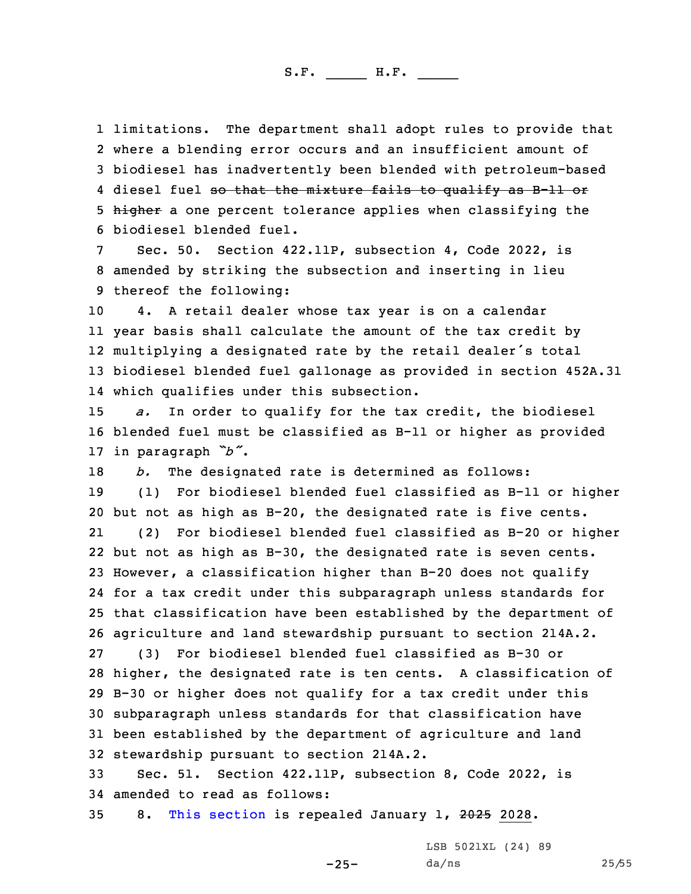limitations. The department shall adopt rules to provide that where <sup>a</sup> blending error occurs and an insufficient amount of biodiesel has inadvertently been blended with petroleum-based 4 diesel fuel <del>so that the mixture fails to qualify as B-11 or</del> 5 higher a one percent tolerance applies when classifying the biodiesel blended fuel.

Sec. 50. Section 422.11P, subsection 4, Code 2022, is 8 amended by striking the subsection and inserting in lieu 9 thereof the following:

 4. <sup>A</sup> retail dealer whose tax year is on <sup>a</sup> calendar year basis shall calculate the amount of the tax credit by multiplying <sup>a</sup> designated rate by the retail dealer's total biodiesel blended fuel gallonage as provided in section 452A.31 which qualifies under this subsection.

15 *a.* In order to qualify for the tax credit, the biodiesel 16 blended fuel must be classified as B-11 or higher as provided <sup>17</sup> in paragraph *"b"*.

18 *b.* The designated rate is determined as follows: 19 (1) For biodiesel blended fuel classified as B-11 or higher

 but not as high as B-20, the designated rate is five cents. 21 (2) For biodiesel blended fuel classified as B-20 or higher but not as high as B-30, the designated rate is seven cents. However, <sup>a</sup> classification higher than B-20 does not qualify for <sup>a</sup> tax credit under this subparagraph unless standards for that classification have been established by the department of agriculture and land stewardship pursuant to section 214A.2. (3) For biodiesel blended fuel classified as B-30 or higher, the designated rate is ten cents. <sup>A</sup> classification of B-30 or higher does not qualify for <sup>a</sup> tax credit under this subparagraph unless standards for that classification have been established by the department of agriculture and land stewardship pursuant to section 214A.2.

33 Sec. 51. Section 422.11P, subsection 8, Code 2022, is 34 amended to read as follows:

 $-25-$ 

35 8. This [section](https://www.legis.iowa.gov/docs/code/2022/422.11P.pdf) is repealed January 1, 2025 2028.

LSB 5021XL (24) 89 da/ns 25/55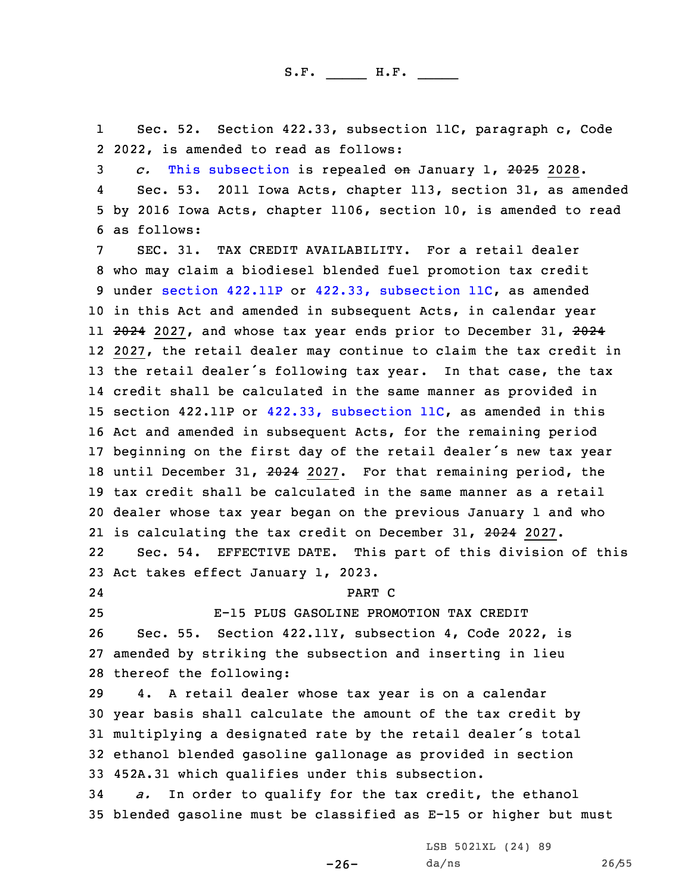1 Sec. 52. Section 422.33, subsection 11C, paragraph c, Code 2 2022, is amended to read as follows:

3 *c.* This [subsection](https://www.legis.iowa.gov/docs/code/2022/422.33.pdf) is repealed on January 1, 2025 2028.

4 Sec. 53. 2011 Iowa Acts, chapter 113, section 31, as amended 5 by 2016 Iowa Acts, chapter 1106, section 10, is amended to read 6 as follows:

 SEC. 31. TAX CREDIT AVAILABILITY. For <sup>a</sup> retail dealer who may claim <sup>a</sup> biodiesel blended fuel promotion tax credit under [section](https://www.legis.iowa.gov/docs/code/2022/422.11P.pdf) 422.11P or 422.33, [subsection](https://www.legis.iowa.gov/docs/code/2022/422.33.pdf) 11C, as amended in this Act and amended in subsequent Acts, in calendar year 11 <del>2024</del> 2027, and whose tax year ends prior to December 31, <del>2024</del> 2027, the retail dealer may continue to claim the tax credit in 13 the retail dealer's following tax year. In that case, the tax credit shall be calculated in the same manner as provided in section 422.11P or 422.33, [subsection](https://www.legis.iowa.gov/docs/code/2022/422.33.pdf) 11C, as amended in this Act and amended in subsequent Acts, for the remaining period beginning on the first day of the retail dealer's new tax year until December 31, 2024 2027. For that remaining period, the tax credit shall be calculated in the same manner as <sup>a</sup> retail dealer whose tax year began on the previous January 1 and who is calculating the tax credit on December 31, 2024 2027. 22 Sec. 54. EFFECTIVE DATE. This part of this division of this Act takes effect January 1, 2023.

24

25 E-15 PLUS GASOLINE PROMOTION TAX CREDIT 26 Sec. 55. Section 422.11Y, subsection 4, Code 2022, is 27 amended by striking the subsection and inserting in lieu

PART C

28 thereof the following:

 4. <sup>A</sup> retail dealer whose tax year is on <sup>a</sup> calendar year basis shall calculate the amount of the tax credit by multiplying <sup>a</sup> designated rate by the retail dealer's total ethanol blended gasoline gallonage as provided in section 452A.31 which qualifies under this subsection.

34 *a.* In order to qualify for the tax credit, the ethanol 35 blended gasoline must be classified as E-15 or higher but must

 $-26-$ 

LSB 5021XL (24) 89 da/ns 26/55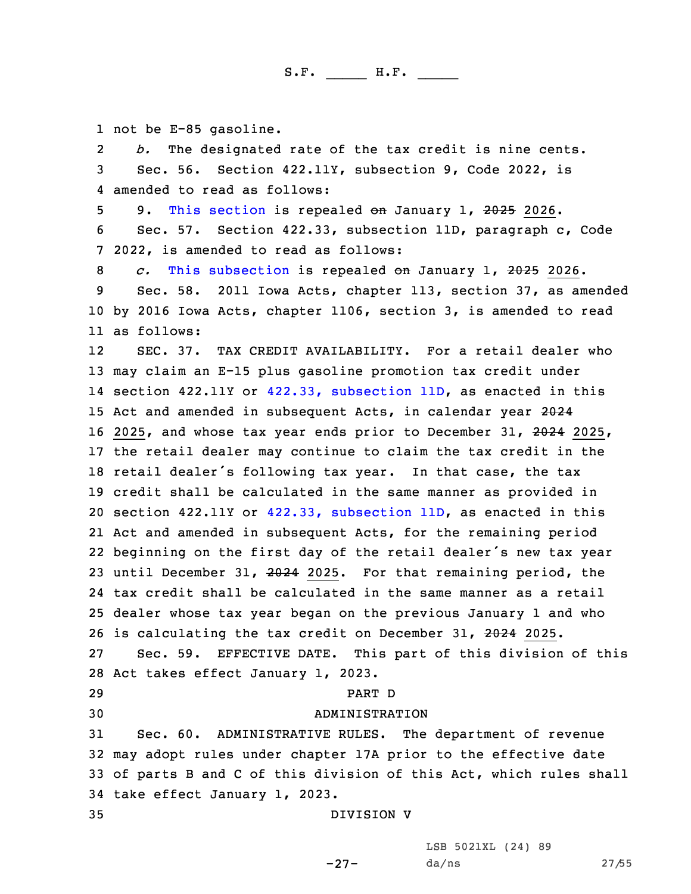1 not be E-85 gasoline.

2 *b.* The designated rate of the tax credit is nine cents. 3 Sec. 56. Section 422.11Y, subsection 9, Code 2022, is 4 amended to read as follows:

5 9. This [section](https://www.legis.iowa.gov/docs/code/2022/422.11Y.pdf) is repealed on January 1, 2025 2026.

6 Sec. 57. Section 422.33, subsection 11D, paragraph c, Code 7 2022, is amended to read as follows:

8 *c.* This [subsection](https://www.legis.iowa.gov/docs/code/2022/422.33.pdf) is repealed on January 1, 2025 2026.

9 Sec. 58. 2011 Iowa Acts, chapter 113, section 37, as amended 10 by 2016 Iowa Acts, chapter 1106, section 3, is amended to read 11 as follows:

12 SEC. 37. TAX CREDIT AVAILABILITY. For <sup>a</sup> retail dealer who may claim an E-15 plus gasoline promotion tax credit under section 422.11Y or 422.33, [subsection](https://www.legis.iowa.gov/docs/code/2022/422.33.pdf) 11D, as enacted in this 15 Act and amended in subsequent Acts, in calendar year 2024 16 2025, and whose tax year ends prior to December 31, 2024 2025, the retail dealer may continue to claim the tax credit in the retail dealer's following tax year. In that case, the tax credit shall be calculated in the same manner as provided in section 422.11Y or 422.33, [subsection](https://www.legis.iowa.gov/docs/code/2022/422.33.pdf) 11D, as enacted in this Act and amended in subsequent Acts, for the remaining period beginning on the first day of the retail dealer's new tax year until December 31, 2024 2025. For that remaining period, the tax credit shall be calculated in the same manner as <sup>a</sup> retail dealer whose tax year began on the previous January 1 and who 26 is calculating the tax credit on December 31, 2024 2025. Sec. 59. EFFECTIVE DATE. This part of this division of this Act takes effect January 1, 2023.

29 PART D

#### 30 ADMINISTRATION

 Sec. 60. ADMINISTRATIVE RULES. The department of revenue may adopt rules under chapter 17A prior to the effective date of parts <sup>B</sup> and C of this division of this Act, which rules shall take effect January 1, 2023.

-27-

35 DIVISION V

LSB 5021XL (24) 89 da/ns 27/55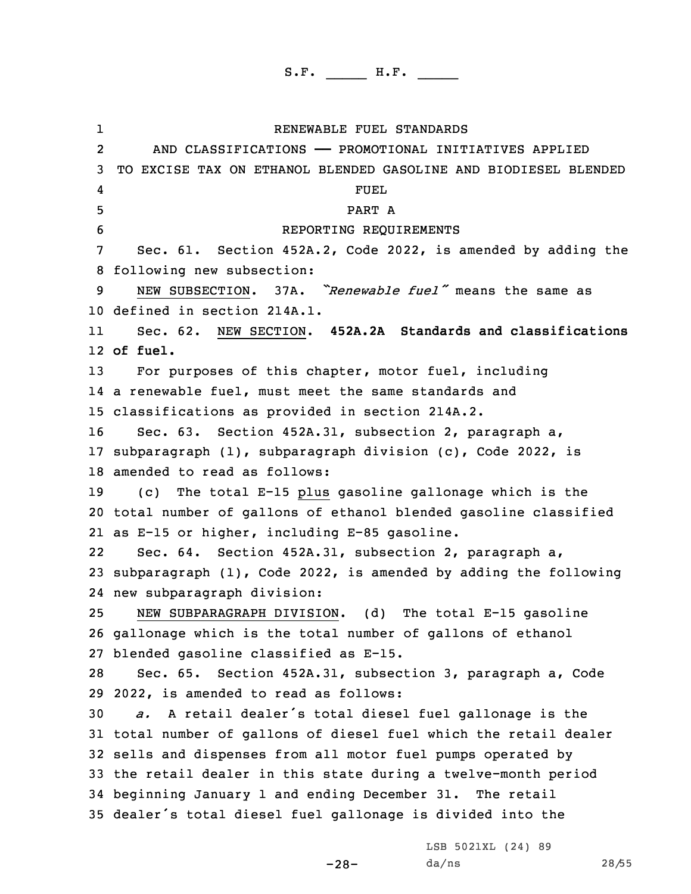1 RENEWABLE FUEL STANDARDS 2 AND CLASSIFICATIONS —— PROMOTIONAL INITIATIVES APPLIED TO EXCISE TAX ON ETHANOL BLENDED GASOLINE AND BIODIESEL BLENDED 4 FUEL 5 PART A REPORTING REQUIREMENTS Sec. 61. Section 452A.2, Code 2022, is amended by adding the following new subsection: NEW SUBSECTION. 37A. *"Renewable fuel"* means the same as defined in section 214A.1. 11 Sec. 62. NEW SECTION. **452A.2A Standards and classifications** 12 **of fuel.** For purposes of this chapter, motor fuel, including <sup>a</sup> renewable fuel, must meet the same standards and classifications as provided in section 214A.2. Sec. 63. Section 452A.31, subsection 2, paragraph a, subparagraph (1), subparagraph division (c), Code 2022, is amended to read as follows: (c) The total E-15 plus gasoline gallonage which is the total number of gallons of ethanol blended gasoline classified as E-15 or higher, including E-85 gasoline. 22 Sec. 64. Section 452A.31, subsection 2, paragraph a, subparagraph (1), Code 2022, is amended by adding the following new subparagraph division: NEW SUBPARAGRAPH DIVISION. (d) The total E-15 gasoline gallonage which is the total number of gallons of ethanol blended gasoline classified as E-15. Sec. 65. Section 452A.31, subsection 3, paragraph a, Code 2022, is amended to read as follows: *a.* <sup>A</sup> retail dealer's total diesel fuel gallonage is the total number of gallons of diesel fuel which the retail dealer sells and dispenses from all motor fuel pumps operated by the retail dealer in this state during <sup>a</sup> twelve-month period beginning January 1 and ending December 31. The retail dealer's total diesel fuel gallonage is divided into the

LSB 5021XL (24) 89 da/ns 28/55

-28-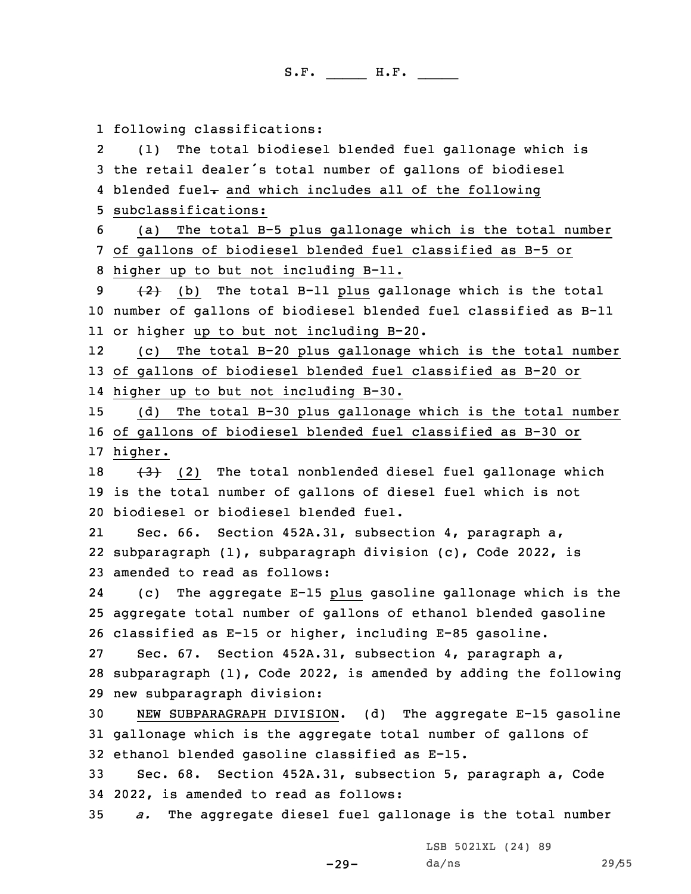following classifications: 2 (1) The total biodiesel blended fuel gallonage which is the retail dealer's total number of gallons of biodiesel 4 blended fuel- and which includes all of the following subclassifications: (a) The total B-5 plus gallonage which is the total number of gallons of biodiesel blended fuel classified as B-5 or higher up to but not including B-11.  $(2)$  (b) The total B-11 plus gallonage which is the total number of gallons of biodiesel blended fuel classified as B-11 or higher up to but not including B-20. 12 (c) The total B-20 plus gallonage which is the total number of gallons of biodiesel blended fuel classified as B-20 or higher up to but not including B-30. (d) The total B-30 plus gallonage which is the total number of gallons of biodiesel blended fuel classified as B-30 or 17 higher.  $(3)$  (2) The total nonblended diesel fuel gallonage which is the total number of gallons of diesel fuel which is not biodiesel or biodiesel blended fuel. 21 Sec. 66. Section 452A.31, subsection 4, paragraph a, subparagraph (1), subparagraph division (c), Code 2022, is amended to read as follows: 24 (c) The aggregate E-15 plus gasoline gallonage which is the aggregate total number of gallons of ethanol blended gasoline classified as E-15 or higher, including E-85 gasoline. Sec. 67. Section 452A.31, subsection 4, paragraph a, 28 subparagraph  $(1)$ , Code 2022, is amended by adding the following new subparagraph division: NEW SUBPARAGRAPH DIVISION. (d) The aggregate E-15 gasoline gallonage which is the aggregate total number of gallons of ethanol blended gasoline classified as E-15. Sec. 68. Section 452A.31, subsection 5, paragraph a, Code 2022, is amended to read as follows: *a.* The aggregate diesel fuel gallonage is the total number

LSB 5021XL (24) 89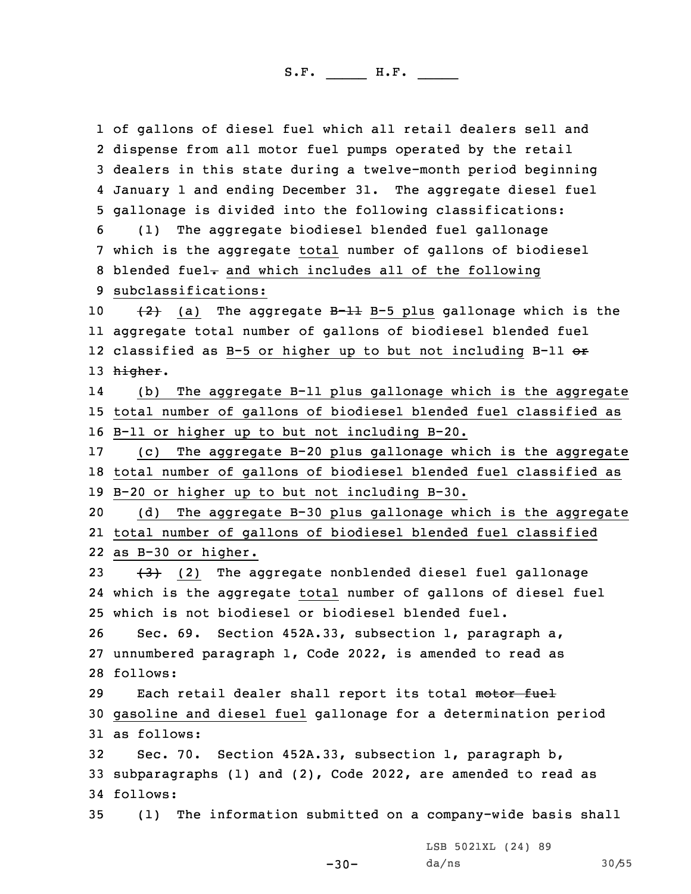of gallons of diesel fuel which all retail dealers sell and dispense from all motor fuel pumps operated by the retail dealers in this state during <sup>a</sup> twelve-month period beginning January 1 and ending December 31. The aggregate diesel fuel gallonage is divided into the following classifications: (1) The aggregate biodiesel blended fuel gallonage which is the aggregate total number of gallons of biodiesel 8 blended fuel- and which includes all of the following subclassifications:  $(2)$  (a) The aggregate B-11 B-5 plus gallonage which is the aggregate total number of gallons of biodiesel blended fuel 12 classified as B-5 or higher up to but not including B-11 <del>or</del> 13 higher. 14 (b) The aggregate B-11 plus gallonage which is the aggregate total number of gallons of biodiesel blended fuel classified as B-11 or higher up to but not including B-20. (c) The aggregate B-20 plus gallonage which is the aggregate total number of gallons of biodiesel blended fuel classified as B-20 or higher up to but not including B-30. (d) The aggregate B-30 plus gallonage which is the aggregate total number of gallons of biodiesel blended fuel classified as B-30 or higher.  $(3)$  (2) The aggregate nonblended diesel fuel gallonage which is the aggregate total number of gallons of diesel fuel which is not biodiesel or biodiesel blended fuel. Sec. 69. Section 452A.33, subsection 1, paragraph a, unnumbered paragraph 1, Code 2022, is amended to read as 28 follows: 29 Each retail dealer shall report its total motor fuel gasoline and diesel fuel gallonage for <sup>a</sup> determination period as follows: Sec. 70. Section 452A.33, subsection 1, paragraph b, subparagraphs (1) and (2), Code 2022, are amended to read as 34 follows: (1) The information submitted on <sup>a</sup> company-wide basis shall

LSB 5021XL (24) 89 da/ns 30/55

 $-30-$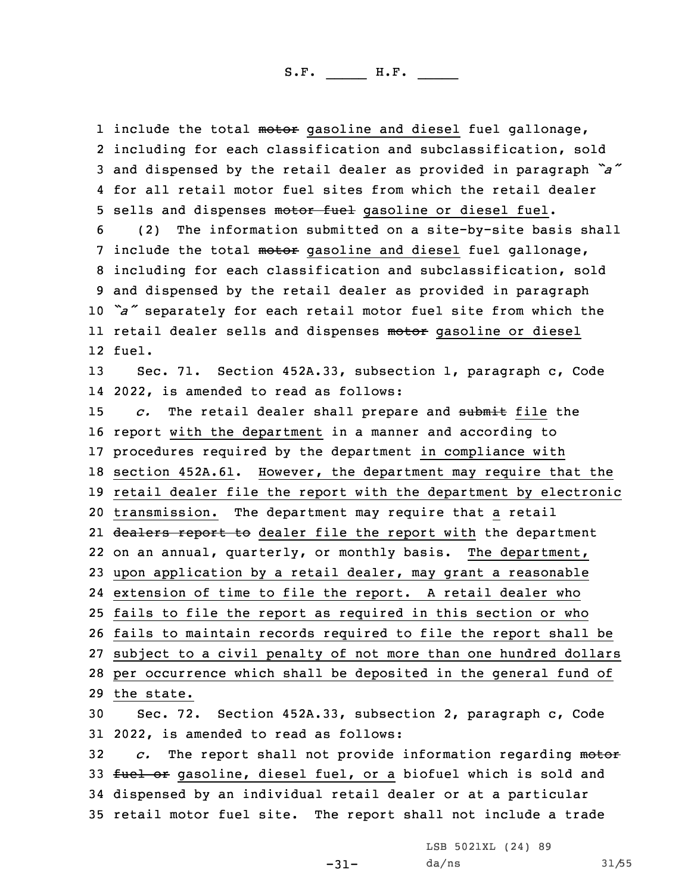1 include the total <del>motor</del> gasoline and diesel fuel gallonage, including for each classification and subclassification, sold and dispensed by the retail dealer as provided in paragraph *"a"* for all retail motor fuel sites from which the retail dealer 5 sells and dispenses motor fuel gasoline or diesel fuel. (2) The information submitted on <sup>a</sup> site-by-site basis shall 7 include the total motor gasoline and diesel fuel gallonage, including for each classification and subclassification, sold and dispensed by the retail dealer as provided in paragraph *"a"* separately for each retail motor fuel site from which the ll retail dealer sells and dispenses <del>motor</del> gasoline or diesel 12 fuel. Sec. 71. Section 452A.33, subsection 1, paragraph c, Code 2022, is amended to read as follows: *c.* The retail dealer shall prepare and submit file the report with the department in <sup>a</sup> manner and according to procedures required by the department in compliance with section 452A.61. However, the department may require that the retail dealer file the report with the department by electronic transmission. The department may require that <sup>a</sup> retail 21 <del>dealers report to</del> dealer file the report with the department on an annual, quarterly, or monthly basis. The department, upon application by <sup>a</sup> retail dealer, may grant <sup>a</sup> reasonable extension of time to file the report. <sup>A</sup> retail dealer who fails to file the report as required in this section or who fails to maintain records required to file the report shall be subject to <sup>a</sup> civil penalty of not more than one hundred dollars per occurrence which shall be deposited in the general fund of the state. Sec. 72. Section 452A.33, subsection 2, paragraph c, Code 2022, is amended to read as follows: *c.* The report shall not provide information regarding motor 33 fuel or gasoline, diesel fuel, or a biofuel which is sold and dispensed by an individual retail dealer or at <sup>a</sup> particular retail motor fuel site. The report shall not include <sup>a</sup> trade

LSB 5021XL (24) 89

-31-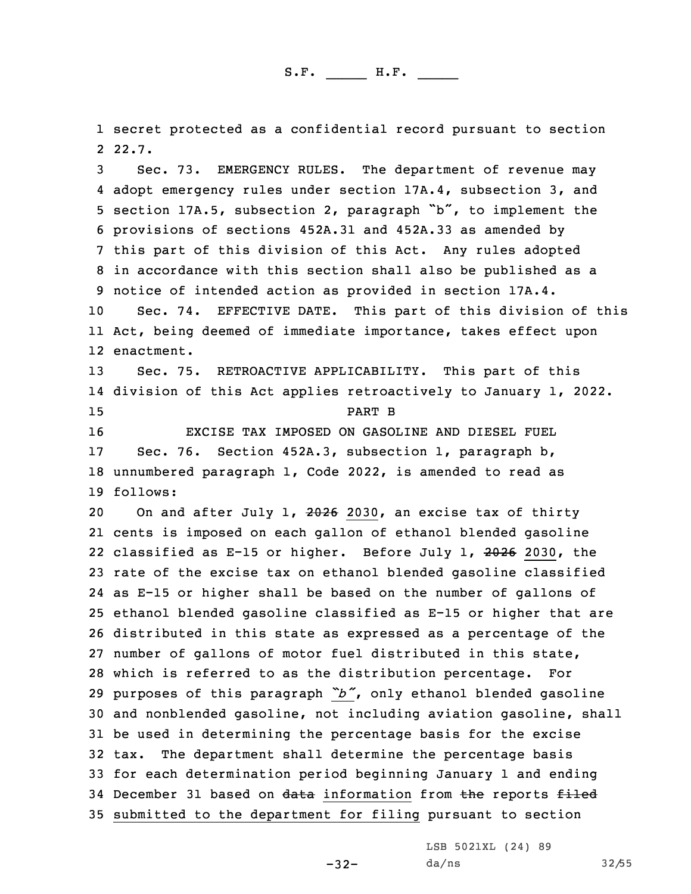1 secret protected as <sup>a</sup> confidential record pursuant to section 2 22.7.

 Sec. 73. EMERGENCY RULES. The department of revenue may adopt emergency rules under section 17A.4, subsection 3, and section 17A.5, subsection 2, paragraph "b", to implement the provisions of sections 452A.31 and 452A.33 as amended by this part of this division of this Act. Any rules adopted in accordance with this section shall also be published as <sup>a</sup> notice of intended action as provided in section 17A.4. Sec. 74. EFFECTIVE DATE. This part of this division of this

11 Act, being deemed of immediate importance, takes effect upon 12 enactment.

 Sec. 75. RETROACTIVE APPLICABILITY. This part of this division of this Act applies retroactively to January 1, 2022. 15 PART B EXCISE TAX IMPOSED ON GASOLINE AND DIESEL FUEL Sec. 76. Section 452A.3, subsection 1, paragraph b, unnumbered paragraph 1, Code 2022, is amended to read as

19 follows:

20 On and after July 1, 2026 2030, an excise tax of thirty cents is imposed on each gallon of ethanol blended gasoline 22 classified as E-15 or higher. Before July 1, 2026 2030, the rate of the excise tax on ethanol blended gasoline classified as E-15 or higher shall be based on the number of gallons of ethanol blended gasoline classified as E-15 or higher that are distributed in this state as expressed as <sup>a</sup> percentage of the number of gallons of motor fuel distributed in this state, which is referred to as the distribution percentage. For purposes of this paragraph *"b"*, only ethanol blended gasoline and nonblended gasoline, not including aviation gasoline, shall be used in determining the percentage basis for the excise tax. The department shall determine the percentage basis for each determination period beginning January 1 and ending 34 December 31 based on data information from the reports filed submitted to the department for filing pursuant to section

-32-

LSB 5021XL (24) 89 da/ns 32/55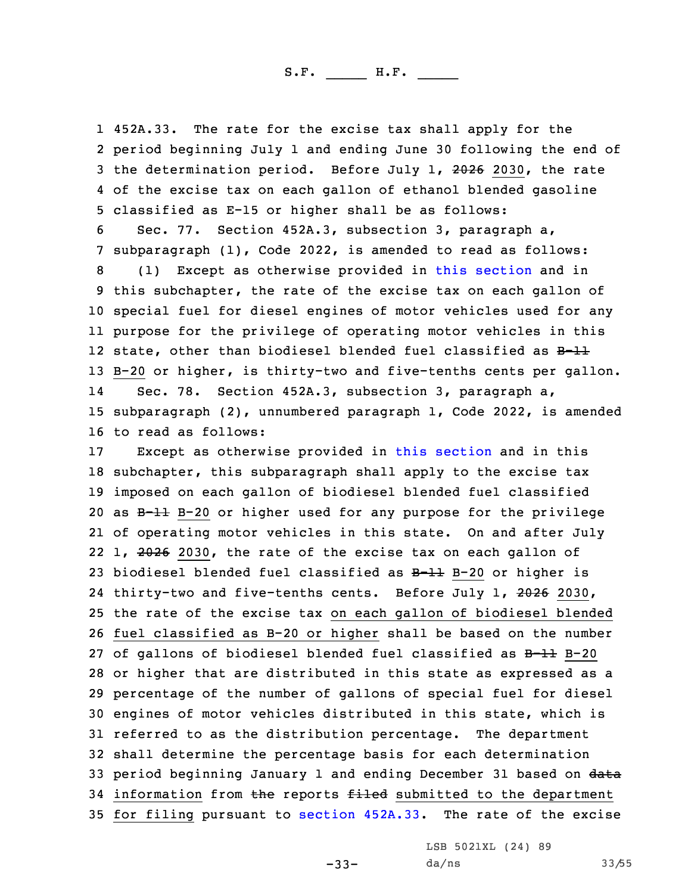452A.33. The rate for the excise tax shall apply for the period beginning July 1 and ending June 30 following the end of 3 the determination period. Before July 1, 2026 2030, the rate of the excise tax on each gallon of ethanol blended gasoline classified as E-15 or higher shall be as follows:

 Sec. 77. Section 452A.3, subsection 3, paragraph a, subparagraph (1), Code 2022, is amended to read as follows: (1) Except as otherwise provided in this [section](https://www.legis.iowa.gov/docs/code/2022/452A.3.pdf) and in this subchapter, the rate of the excise tax on each gallon of special fuel for diesel engines of motor vehicles used for any purpose for the privilege of operating motor vehicles in this 12 state, other than biodiesel blended fuel classified as B-11 B-20 or higher, is thirty-two and five-tenths cents per gallon. 14 Sec. 78. Section 452A.3, subsection 3, paragraph a, subparagraph (2), unnumbered paragraph 1, Code 2022, is amended to read as follows:

 Except as otherwise provided in this [section](https://www.legis.iowa.gov/docs/code/2022/452A.3.pdf) and in this subchapter, this subparagraph shall apply to the excise tax imposed on each gallon of biodiesel blended fuel classified as B-11 B-20 or higher used for any purpose for the privilege of operating motor vehicles in this state. On and after July 22 1, 2026 2030, the rate of the excise tax on each gallon of biodiesel blended fuel classified as B-11 B-20 or higher is 24 thirty-two and five-tenths cents. Before July 1, 2026 2030, the rate of the excise tax on each gallon of biodiesel blended fuel classified as B-20 or higher shall be based on the number of gallons of biodiesel blended fuel classified as B-11 B-20 or higher that are distributed in this state as expressed as <sup>a</sup> percentage of the number of gallons of special fuel for diesel engines of motor vehicles distributed in this state, which is referred to as the distribution percentage. The department shall determine the percentage basis for each determination 33 period beginning January 1 and ending December 31 based on data 34 information from the reports filed submitted to the department for filing pursuant to [section](https://www.legis.iowa.gov/docs/code/2022/452A.33.pdf) 452A.33. The rate of the excise

LSB 5021XL (24) 89

-33-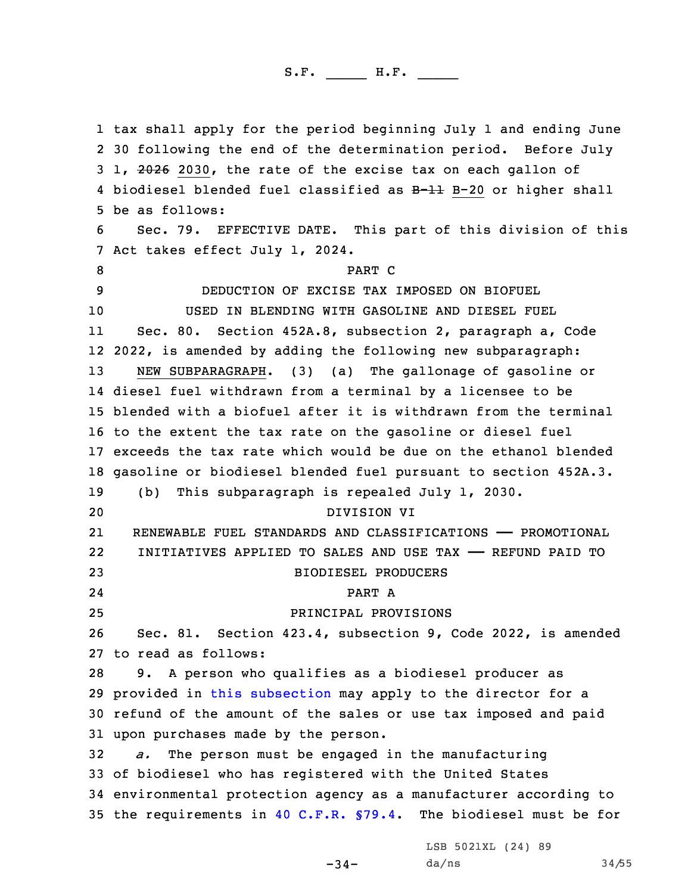tax shall apply for the period beginning July 1 and ending June 30 following the end of the determination period. Before July 3 1, 2026 2030, the rate of the excise tax on each gallon of 4 biodiesel blended fuel classified as B<del>-11</del> B-20 or higher shall be as follows: Sec. 79. EFFECTIVE DATE. This part of this division of this Act takes effect July 1, 2024. 8 PART C DEDUCTION OF EXCISE TAX IMPOSED ON BIOFUEL USED IN BLENDING WITH GASOLINE AND DIESEL FUEL 11 Sec. 80. Section 452A.8, subsection 2, paragraph a, Code 2022, is amended by adding the following new subparagraph: NEW SUBPARAGRAPH. (3) (a) The gallonage of gasoline or diesel fuel withdrawn from <sup>a</sup> terminal by <sup>a</sup> licensee to be blended with <sup>a</sup> biofuel after it is withdrawn from the terminal to the extent the tax rate on the gasoline or diesel fuel exceeds the tax rate which would be due on the ethanol blended gasoline or biodiesel blended fuel pursuant to section 452A.3. (b) This subparagraph is repealed July 1, 2030. DIVISION VI 21 RENEWABLE FUEL STANDARDS AND CLASSIFICATIONS —— PROMOTIONAL 22 INITIATIVES APPLIED TO SALES AND USE TAX —— REFUND PAID TO BIODIESEL PRODUCERS 24 PART A PRINCIPAL PROVISIONS Sec. 81. Section 423.4, subsection 9, Code 2022, is amended to read as follows: 9. <sup>A</sup> person who qualifies as <sup>a</sup> biodiesel producer as provided in this [subsection](https://www.legis.iowa.gov/docs/code/2022/423.4.pdf) may apply to the director for <sup>a</sup> refund of the amount of the sales or use tax imposed and paid upon purchases made by the person. *a.* The person must be engaged in the manufacturing of biodiesel who has registered with the United States environmental protection agency as <sup>a</sup> manufacturer according to the requirements in 40 C.F.R. [§79.4](https://www.law.cornell.edu/cfr/text/40/79.4). The biodiesel must be for

-34-

LSB 5021XL (24) 89 da/ns 34/55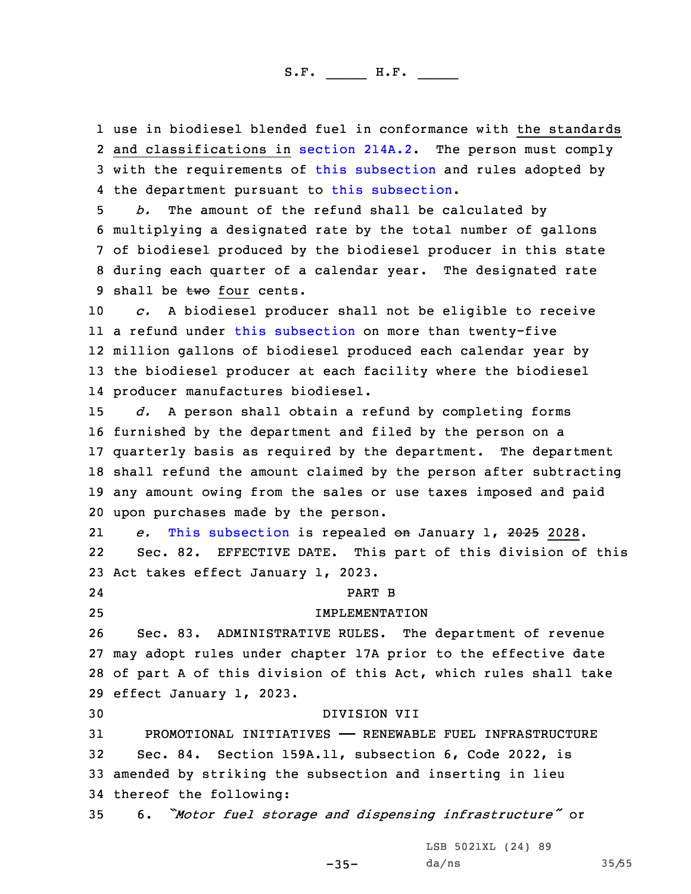1 use in biodiesel blended fuel in conformance with the standards 2 and classifications in [section](https://www.legis.iowa.gov/docs/code/2022/214A.2.pdf) 214A.2. The person must comply 3 with the requirements of this [subsection](https://www.legis.iowa.gov/docs/code/2022/423.4.pdf) and rules adopted by 4 the department pursuant to this [subsection](https://www.legis.iowa.gov/docs/code/2022/423.4.pdf).

 *b.* The amount of the refund shall be calculated by multiplying <sup>a</sup> designated rate by the total number of gallons of biodiesel produced by the biodiesel producer in this state during each quarter of <sup>a</sup> calendar year. The designated rate 9 shall be  $two$  four cents.

 *c.* <sup>A</sup> biodiesel producer shall not be eligible to receive <sup>a</sup> refund under this [subsection](https://www.legis.iowa.gov/docs/code/2022/423.4.pdf) on more than twenty-five million gallons of biodiesel produced each calendar year by the biodiesel producer at each facility where the biodiesel producer manufactures biodiesel.

 *d.* <sup>A</sup> person shall obtain <sup>a</sup> refund by completing forms furnished by the department and filed by the person on <sup>a</sup> quarterly basis as required by the department. The department shall refund the amount claimed by the person after subtracting any amount owing from the sales or use taxes imposed and paid upon purchases made by the person.

21 *e.* This [subsection](https://www.legis.iowa.gov/docs/code/2022/423.4.pdf) is repealed on January 1, 2025 2028. 22 Sec. 82. EFFECTIVE DATE. This part of this division of this 23 Act takes effect January 1, 2023.

25 IMPLEMENTATION

24

# PART B

 Sec. 83. ADMINISTRATIVE RULES. The department of revenue may adopt rules under chapter 17A prior to the effective date of part <sup>A</sup> of this division of this Act, which rules shall take effect January 1, 2023.

 DIVISION VII PROMOTIONAL INITIATIVES —— RENEWABLE FUEL INFRASTRUCTURE Sec. 84. Section 159A.11, subsection 6, Code 2022, is amended by striking the subsection and inserting in lieu thereof the following:

<sup>35</sup> 6. *"Motor fuel storage and dispensing infrastructure"* or

LSB 5021XL (24) 89

-35-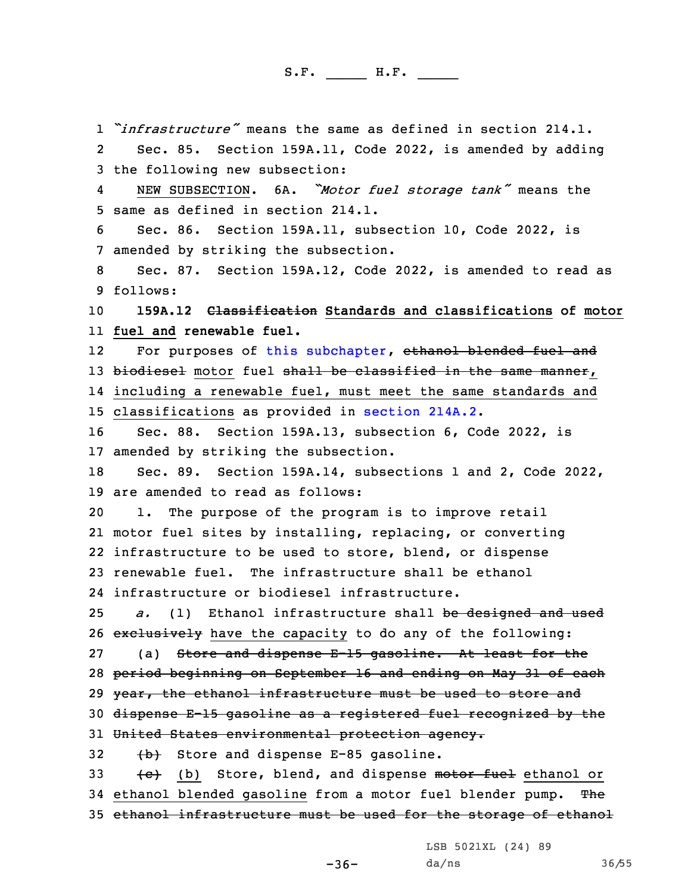*"infrastructure"* means the same as defined in section 214.1. 2 Sec. 85. Section 159A.11, Code 2022, is amended by adding the following new subsection: 4 NEW SUBSECTION. 6A. *"Motor fuel storage tank"* means the same as defined in section 214.1. Sec. 86. Section 159A.11, subsection 10, Code 2022, is amended by striking the subsection. Sec. 87. Section 159A.12, Code 2022, is amended to read as 9 follows: **159A.12 Classification Standards and classifications of motor fuel and renewable fuel.** 12For purposes of this [subchapter](https://www.legis.iowa.gov/docs/code/2022/159A.pdf), ethanol blended fuel and 13 biodiesel motor fuel shall be classified in the same manner, including <sup>a</sup> renewable fuel, must meet the same standards and classifications as provided in [section](https://www.legis.iowa.gov/docs/code/2022/214A.2.pdf) 214A.2. Sec. 88. Section 159A.13, subsection 6, Code 2022, is amended by striking the subsection. Sec. 89. Section 159A.14, subsections 1 and 2, Code 2022, are amended to read as follows: 1. The purpose of the program is to improve retail motor fuel sites by installing, replacing, or converting infrastructure to be used to store, blend, or dispense renewable fuel. The infrastructure shall be ethanol infrastructure or biodiesel infrastructure. *a.* (1) Ethanol infrastructure shall be designed and used 26 exclusively have the capacity to do any of the following: (a) Store and dispense E-15 gasoline. At least for the period beginning on September 16 and ending on May 31 of each 29 year, the ethanol infrastructure must be used to store and dispense E-15 gasoline as <sup>a</sup> registered fuel recognized by the 31 United States environmental protection agency. (b) Store and dispense E-85 gasoline.  $\leftarrow$  (b) Store, blend, and dispense motor fuel ethanol or 34 ethanol blended gasoline from a motor fuel blender pump. The ethanol infrastructure must be used for the storage of ethanol

LSB 5021XL (24) 89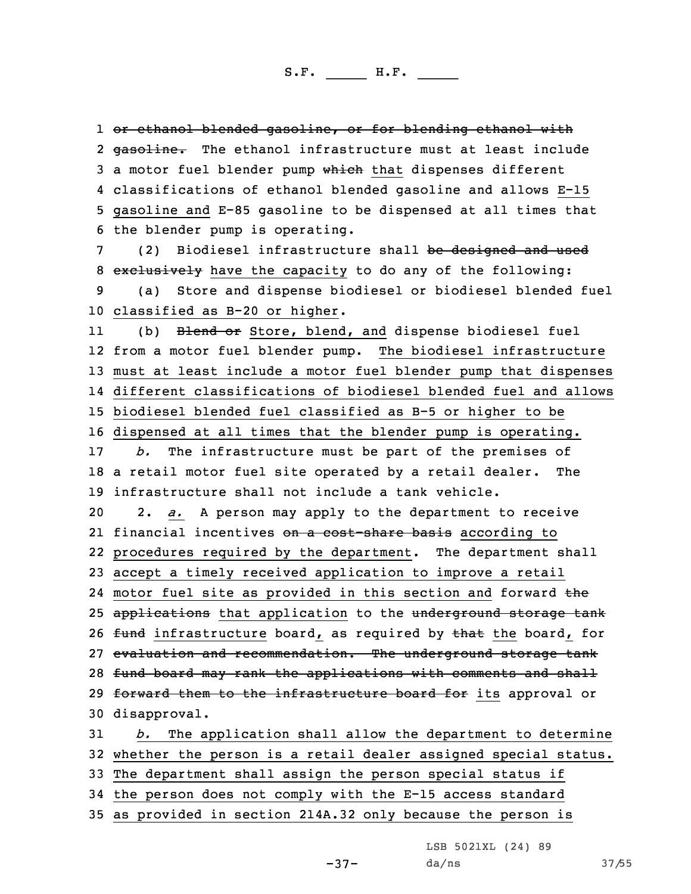or ethanol blended gasoline, or for blending ethanol with 2 gasoline. The ethanol infrastructure must at least include 3 a motor fuel blender pump which that dispenses different classifications of ethanol blended gasoline and allows E-15 gasoline and E-85 gasoline to be dispensed at all times that the blender pump is operating.

7 (2) Biodiesel infrastructure shall be designed and used 8 exclusively have the capacity to do any of the following: 9 (a) Store and dispense biodiesel or biodiesel blended fuel 10 classified as B-20 or higher.

11(b) Blend or Store, blend, and dispense biodiesel fuel from <sup>a</sup> motor fuel blender pump. The biodiesel infrastructure must at least include <sup>a</sup> motor fuel blender pump that dispenses different classifications of biodiesel blended fuel and allows biodiesel blended fuel classified as B-5 or higher to be dispensed at all times that the blender pump is operating. *b.* The infrastructure must be part of the premises of <sup>a</sup> retail motor fuel site operated by <sup>a</sup> retail dealer. The infrastructure shall not include <sup>a</sup> tank vehicle. 2. *a.* <sup>A</sup> person may apply to the department to receive 21 financial incentives <del>on a cost-share basis</del> according to procedures required by the department. The department shall accept <sup>a</sup> timely received application to improve <sup>a</sup> retail 24 motor fuel site as provided in this section and forward the 25 applications that application to the underground storage tank 26 fund infrastructure board, as required by that the board, for evaluation and recommendation. The underground storage tank 28 fund board may rank the applications with comments and shall 29 forward them to the infrastructure board for its approval or disapproval. *b.* The application shall allow the department to determine

32 whether the person is <sup>a</sup> retail dealer assigned special status. 33 The department shall assign the person special status if

34 the person does not comply with the E-15 access standard

35 as provided in section 214A.32 only because the person is

LSB 5021XL (24) 89

da/ns 37/55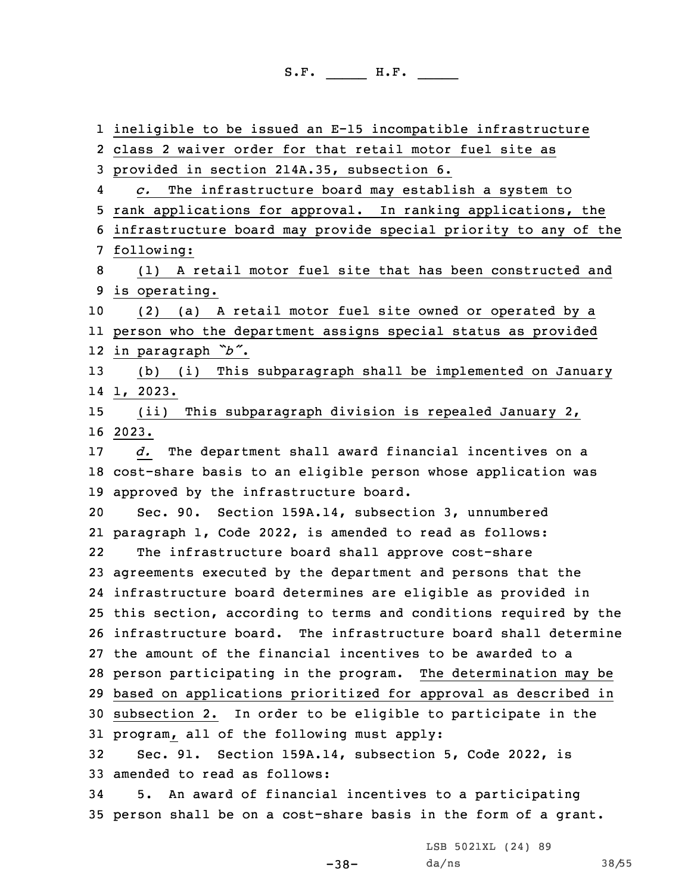ineligible to be issued an E-15 incompatible infrastructure class 2 waiver order for that retail motor fuel site as provided in section 214A.35, subsection 6. 4 *c.* The infrastructure board may establish <sup>a</sup> system to rank applications for approval. In ranking applications, the infrastructure board may provide special priority to any of the following: (1) <sup>A</sup> retail motor fuel site that has been constructed and is operating. (2) (a) <sup>A</sup> retail motor fuel site owned or operated by <sup>a</sup> person who the department assigns special status as provided in paragraph *"b"*. (b) (i) This subparagraph shall be implemented on January 14 1, 2023. (ii) This subparagraph division is repealed January 2, 16 2023. *d.* The department shall award financial incentives on <sup>a</sup> cost-share basis to an eligible person whose application was approved by the infrastructure board. Sec. 90. Section 159A.14, subsection 3, unnumbered paragraph 1, Code 2022, is amended to read as follows: 22 The infrastructure board shall approve cost-share agreements executed by the department and persons that the infrastructure board determines are eligible as provided in this section, according to terms and conditions required by the infrastructure board. The infrastructure board shall determine the amount of the financial incentives to be awarded to <sup>a</sup> person participating in the program. The determination may be based on applications prioritized for approval as described in subsection 2. In order to be eligible to participate in the program, all of the following must apply: Sec. 91. Section 159A.14, subsection 5, Code 2022, is amended to read as follows: 5. An award of financial incentives to <sup>a</sup> participating person shall be on <sup>a</sup> cost-share basis in the form of <sup>a</sup> grant.

-38-

LSB 5021XL (24) 89 da/ns 38/55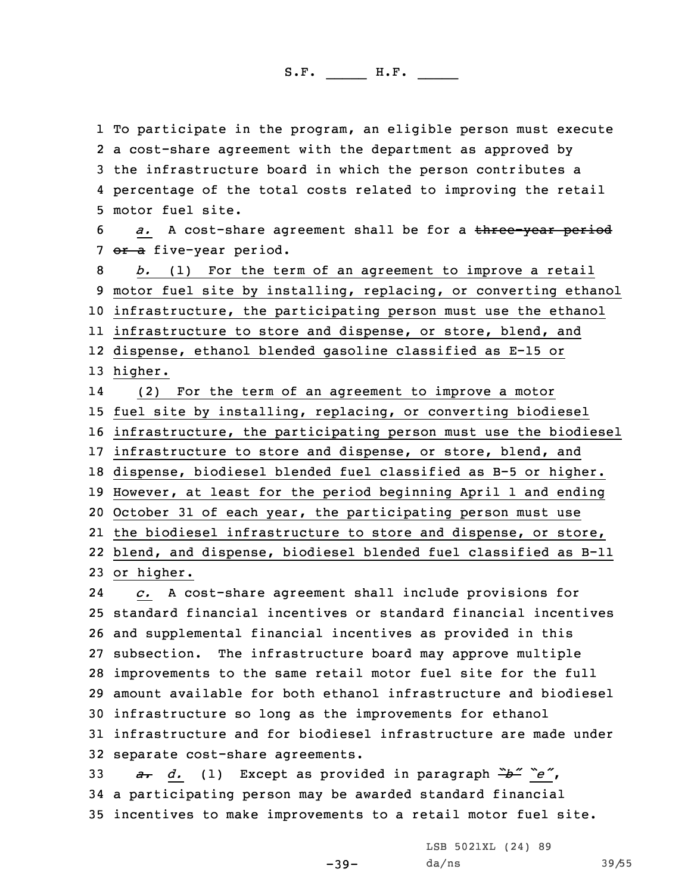To participate in the program, an eligible person must execute <sup>a</sup> cost-share agreement with the department as approved by the infrastructure board in which the person contributes <sup>a</sup> percentage of the total costs related to improving the retail motor fuel site.

6 *a.* <sup>A</sup> cost-share agreement shall be for <sup>a</sup> three-year period 7 or a five-year period.

 *b.* (1) For the term of an agreement to improve <sup>a</sup> retail motor fuel site by installing, replacing, or converting ethanol infrastructure, the participating person must use the ethanol infrastructure to store and dispense, or store, blend, and dispense, ethanol blended gasoline classified as E-15 or 13 higher.

14 (2) For the term of an agreement to improve <sup>a</sup> motor fuel site by installing, replacing, or converting biodiesel infrastructure, the participating person must use the biodiesel infrastructure to store and dispense, or store, blend, and dispense, biodiesel blended fuel classified as B-5 or higher. However, at least for the period beginning April 1 and ending October 31 of each year, the participating person must use the biodiesel infrastructure to store and dispense, or store, blend, and dispense, biodiesel blended fuel classified as B-11 or higher.

24 *c.* <sup>A</sup> cost-share agreement shall include provisions for standard financial incentives or standard financial incentives and supplemental financial incentives as provided in this subsection. The infrastructure board may approve multiple improvements to the same retail motor fuel site for the full amount available for both ethanol infrastructure and biodiesel infrastructure so long as the improvements for ethanol infrastructure and for biodiesel infrastructure are made under separate cost-share agreements.

<sup>33</sup> *a. d.* (1) Except as provided in paragraph *"b" "e"*, 34 <sup>a</sup> participating person may be awarded standard financial 35 incentives to make improvements to <sup>a</sup> retail motor fuel site.

-39-

LSB 5021XL (24) 89 da/ns 39/55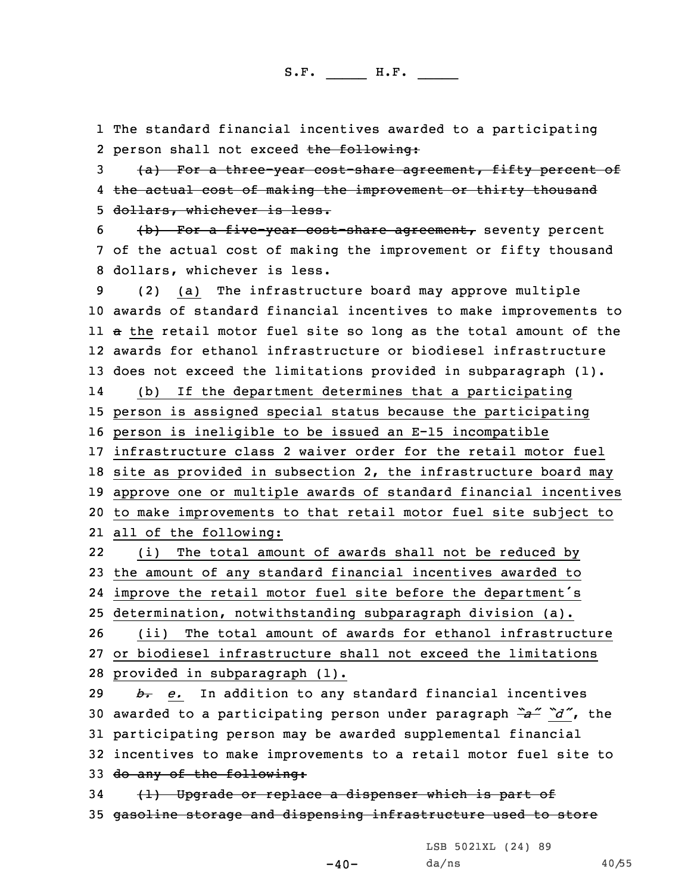1 The standard financial incentives awarded to <sup>a</sup> participating 2 person shall not exceed the following:

3 (a) For a three-year cost-share agreement, fifty percent of 4 <del>the actual cost of making the improvement or thirty thousand</del> 5 dollars, whichever is less.

6 (b) For <sup>a</sup> five-year cost-share agreement, seventy percent 7 of the actual cost of making the improvement or fifty thousand 8 dollars, whichever is less.

 (2) (a) The infrastructure board may approve multiple awards of standard financial incentives to make improvements to <sup>a</sup> the retail motor fuel site so long as the total amount of the awards for ethanol infrastructure or biodiesel infrastructure does not exceed the limitations provided in subparagraph (1). 14 (b) If the department determines that <sup>a</sup> participating person is assigned special status because the participating person is ineligible to be issued an E-15 incompatible infrastructure class 2 waiver order for the retail motor fuel site as provided in subsection 2, the infrastructure board may approve one or multiple awards of standard financial incentives to make improvements to that retail motor fuel site subject to all of the following: 22(i) The total amount of awards shall not be reduced by

23 the amount of any standard financial incentives awarded to 24 improve the retail motor fuel site before the department's

25 determination, notwithstanding subparagraph division (a).

26 (ii) The total amount of awards for ethanol infrastructure 27 or biodiesel infrastructure shall not exceed the limitations 28 provided in subparagraph (1).

 *b. e.* In addition to any standard financial incentives awarded to <sup>a</sup> participating person under paragraph *"a" "d"*, the participating person may be awarded supplemental financial incentives to make improvements to <sup>a</sup> retail motor fuel site to 33 do any of the following:

34 (1) Upgrade or replace a dispenser which is part of 35 gasoline storage and dispensing infrastructure used to store

LSB 5021XL (24) 89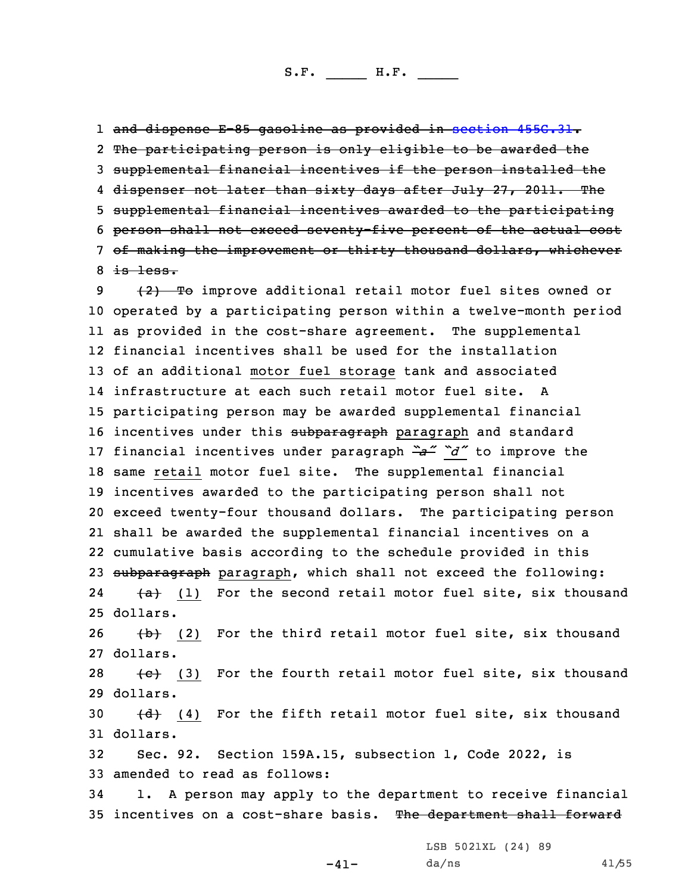1 and dispense E-85 gasoline as provided in [section](https://www.legis.iowa.gov/docs/code/2022/455G.31.pdf) 455G.31.

 The participating person is only eligible to be awarded the supplemental financial incentives if the person installed the 4 <del>dispenser not later than sixty days after July 27, 2011. The</del> supplemental financial incentives awarded to the participating person shall not exceed seventy-five percent of the actual cost of making the improvement or thirty thousand dollars, whichever  $8$  is less.

9 (2) To improve additional retail motor fuel sites owned or operated by <sup>a</sup> participating person within <sup>a</sup> twelve-month period as provided in the cost-share agreement. The supplemental financial incentives shall be used for the installation of an additional motor fuel storage tank and associated infrastructure at each such retail motor fuel site. A participating person may be awarded supplemental financial 16 incentives under this subparagraph paragraph and standard financial incentives under paragraph *"a" "d"* to improve the same retail motor fuel site. The supplemental financial incentives awarded to the participating person shall not exceed twenty-four thousand dollars. The participating person shall be awarded the supplemental financial incentives on <sup>a</sup> cumulative basis according to the schedule provided in this 23 subparagraph paragraph, which shall not exceed the following: 24 $\overline{a}$  (1) For the second retail motor fuel site, six thousand 25 dollars.

26  $\{b\}$  (2) For the third retail motor fuel site, six thousand 27 dollars.

28  $\leftarrow$  (3) For the fourth retail motor fuel site, six thousand 29 dollars.

30  $(d)$  (4) For the fifth retail motor fuel site, six thousand 31 dollars.

32 Sec. 92. Section 159A.15, subsection 1, Code 2022, is 33 amended to read as follows:

34 1. <sup>A</sup> person may apply to the department to receive financial 35 incentives on a cost-share basis. The department shall forward

LSB 5021XL (24) 89

-41-

da/ns 41/55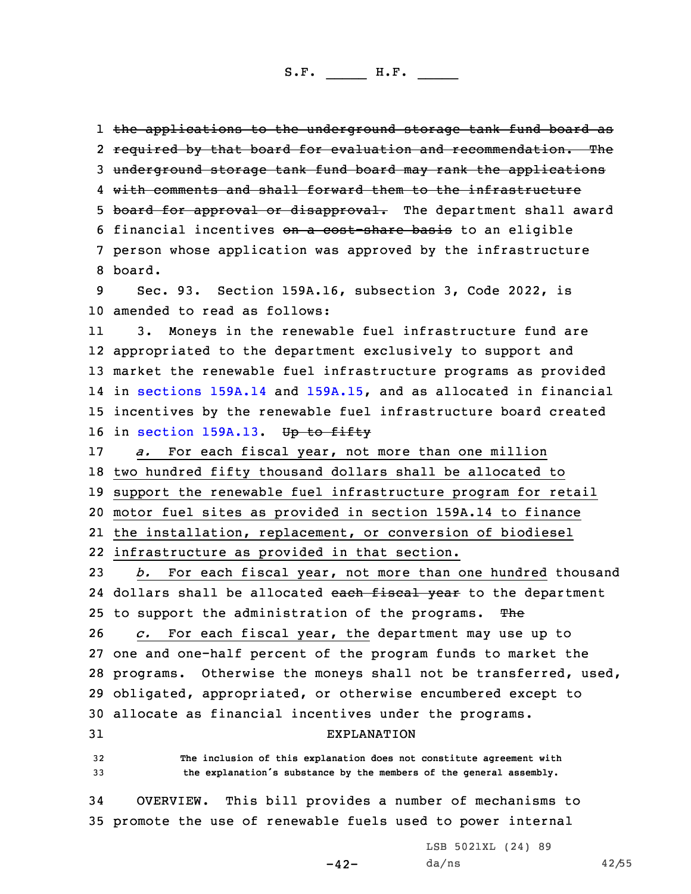1 <del>the applications to the underground storage tank fund board as</del> 2 <del>required by that board for evaluation and recommendation. The</del> underground storage tank fund board may rank the applications with comments and shall forward them to the infrastructure 5 board for approval or disapproval. The department shall award financial incentives on <sup>a</sup> cost-share basis to an eligible person whose application was approved by the infrastructure 8 board. Sec. 93. Section 159A.16, subsection 3, Code 2022, is amended to read as follows: 11 3. Moneys in the renewable fuel infrastructure fund are appropriated to the department exclusively to support and market the renewable fuel infrastructure programs as provided in [sections](https://www.legis.iowa.gov/docs/code/2022/159A.14.pdf) 159A.14 and [159A.15](https://www.legis.iowa.gov/docs/code/2022/159A.15.pdf), and as allocated in financial incentives by the renewable fuel infrastructure board created 16 in [section](https://www.legis.iowa.gov/docs/code/2022/159A.13.pdf) 159A.13. Up to fifty *a.* For each fiscal year, not more than one million two hundred fifty thousand dollars shall be allocated to support the renewable fuel infrastructure program for retail motor fuel sites as provided in section 159A.14 to finance the installation, replacement, or conversion of biodiesel infrastructure as provided in that section. *b.* For each fiscal year, not more than one hundred thousand 24 dollars shall be allocated <del>each fiscal year</del> to the department 25 to support the administration of the programs. The *c.* For each fiscal year, the department may use up to one and one-half percent of the program funds to market the programs. Otherwise the moneys shall not be transferred, used, obligated, appropriated, or otherwise encumbered except to allocate as financial incentives under the programs. EXPLANATION **The inclusion of this explanation does not constitute agreement with the explanation's substance by the members of the general assembly.** OVERVIEW. This bill provides <sup>a</sup> number of mechanisms to promote the use of renewable fuels used to power internal

 $-42-$ 

LSB 5021XL (24) 89  $da/ns$  42/55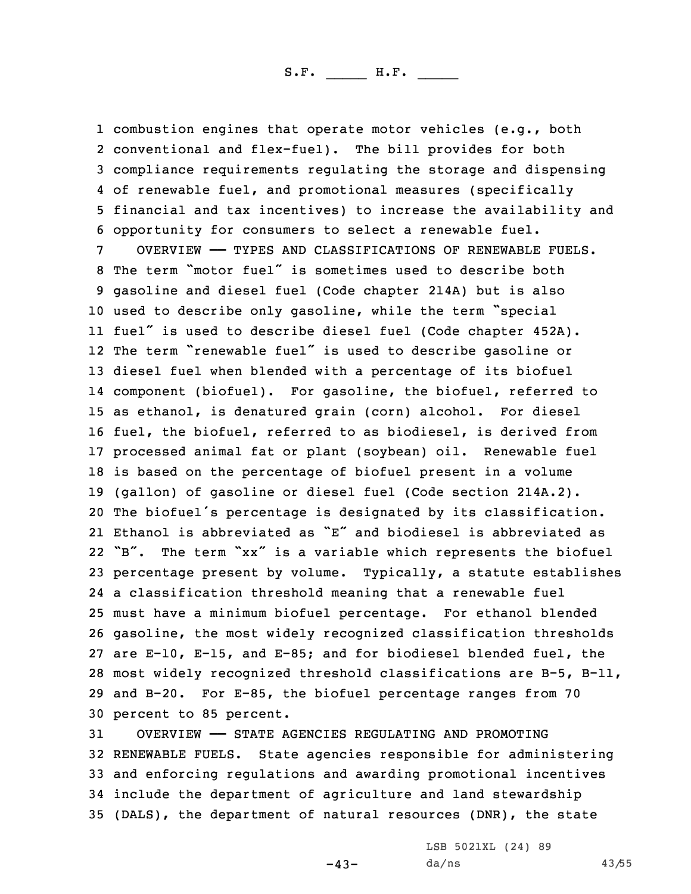combustion engines that operate motor vehicles (e.g., both conventional and flex-fuel). The bill provides for both compliance requirements regulating the storage and dispensing of renewable fuel, and promotional measures (specifically financial and tax incentives) to increase the availability and opportunity for consumers to select <sup>a</sup> renewable fuel.

 OVERVIEW —— TYPES AND CLASSIFICATIONS OF RENEWABLE FUELS. The term "motor fuel" is sometimes used to describe both gasoline and diesel fuel (Code chapter 214A) but is also used to describe only gasoline, while the term "special fuel" is used to describe diesel fuel (Code chapter 452A). The term "renewable fuel" is used to describe gasoline or diesel fuel when blended with <sup>a</sup> percentage of its biofuel component (biofuel). For gasoline, the biofuel, referred to as ethanol, is denatured grain (corn) alcohol. For diesel fuel, the biofuel, referred to as biodiesel, is derived from processed animal fat or plant (soybean) oil. Renewable fuel is based on the percentage of biofuel present in <sup>a</sup> volume (gallon) of gasoline or diesel fuel (Code section 214A.2). The biofuel's percentage is designated by its classification. Ethanol is abbreviated as "E" and biodiesel is abbreviated as "B". The term "xx" is <sup>a</sup> variable which represents the biofuel percentage present by volume. Typically, <sup>a</sup> statute establishes <sup>a</sup> classification threshold meaning that <sup>a</sup> renewable fuel must have <sup>a</sup> minimum biofuel percentage. For ethanol blended gasoline, the most widely recognized classification thresholds are E-10, E-15, and E-85; and for biodiesel blended fuel, the most widely recognized threshold classifications are B-5, B-11, and B-20. For E-85, the biofuel percentage ranges from 70 percent to 85 percent.

 OVERVIEW —— STATE AGENCIES REGULATING AND PROMOTING RENEWABLE FUELS. State agencies responsible for administering and enforcing regulations and awarding promotional incentives include the department of agriculture and land stewardship (DALS), the department of natural resources (DNR), the state

-43-

LSB 5021XL (24) 89 da/ns 43/55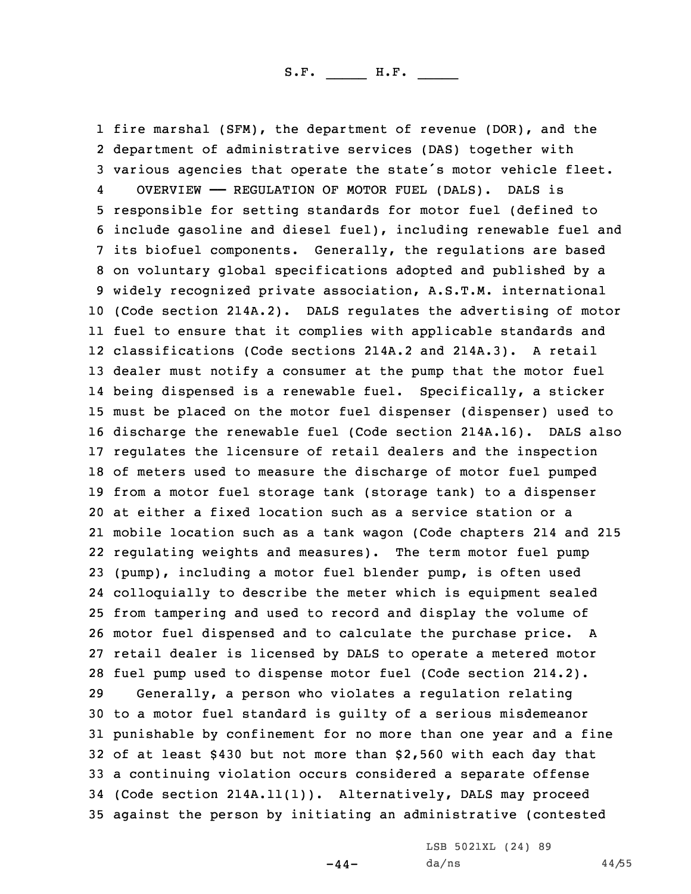fire marshal (SFM), the department of revenue (DOR), and the department of administrative services (DAS) together with various agencies that operate the state's motor vehicle fleet. 4 OVERVIEW —— REGULATION OF MOTOR FUEL (DALS). DALS is responsible for setting standards for motor fuel (defined to include gasoline and diesel fuel), including renewable fuel and its biofuel components. Generally, the regulations are based on voluntary global specifications adopted and published by <sup>a</sup> widely recognized private association, A.S.T.M. international (Code section 214A.2). DALS regulates the advertising of motor fuel to ensure that it complies with applicable standards and classifications (Code sections 214A.2 and 214A.3). <sup>A</sup> retail dealer must notify <sup>a</sup> consumer at the pump that the motor fuel being dispensed is <sup>a</sup> renewable fuel. Specifically, <sup>a</sup> sticker must be placed on the motor fuel dispenser (dispenser) used to discharge the renewable fuel (Code section 214A.16). DALS also regulates the licensure of retail dealers and the inspection of meters used to measure the discharge of motor fuel pumped from <sup>a</sup> motor fuel storage tank (storage tank) to <sup>a</sup> dispenser at either <sup>a</sup> fixed location such as <sup>a</sup> service station or <sup>a</sup> mobile location such as <sup>a</sup> tank wagon (Code chapters 214 and 215 regulating weights and measures). The term motor fuel pump (pump), including <sup>a</sup> motor fuel blender pump, is often used colloquially to describe the meter which is equipment sealed from tampering and used to record and display the volume of motor fuel dispensed and to calculate the purchase price. <sup>A</sup> retail dealer is licensed by DALS to operate <sup>a</sup> metered motor fuel pump used to dispense motor fuel (Code section 214.2). Generally, <sup>a</sup> person who violates <sup>a</sup> regulation relating to <sup>a</sup> motor fuel standard is guilty of <sup>a</sup> serious misdemeanor punishable by confinement for no more than one year and <sup>a</sup> fine of at least \$430 but not more than \$2,560 with each day that <sup>a</sup> continuing violation occurs considered <sup>a</sup> separate offense (Code section 214A.11(1)). Alternatively, DALS may proceed against the person by initiating an administrative (contested

 $-44-$ 

LSB 5021XL (24) 89 da/ns 44/55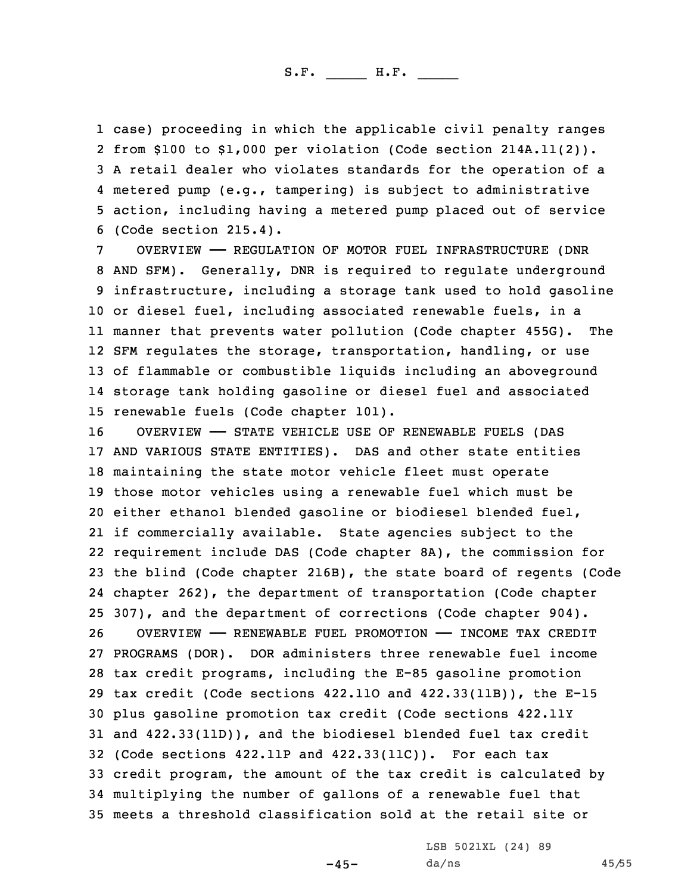case) proceeding in which the applicable civil penalty ranges from \$100 to \$1,000 per violation (Code section 214A.11(2)). <sup>A</sup> retail dealer who violates standards for the operation of <sup>a</sup> metered pump (e.g., tampering) is subject to administrative action, including having <sup>a</sup> metered pump placed out of service (Code section 215.4).

 OVERVIEW —— REGULATION OF MOTOR FUEL INFRASTRUCTURE (DNR AND SFM). Generally, DNR is required to regulate underground infrastructure, including <sup>a</sup> storage tank used to hold gasoline or diesel fuel, including associated renewable fuels, in <sup>a</sup> manner that prevents water pollution (Code chapter 455G). The SFM regulates the storage, transportation, handling, or use of flammable or combustible liquids including an aboveground storage tank holding gasoline or diesel fuel and associated renewable fuels (Code chapter 101).

 OVERVIEW —— STATE VEHICLE USE OF RENEWABLE FUELS (DAS AND VARIOUS STATE ENTITIES). DAS and other state entities maintaining the state motor vehicle fleet must operate those motor vehicles using <sup>a</sup> renewable fuel which must be either ethanol blended gasoline or biodiesel blended fuel, if commercially available. State agencies subject to the requirement include DAS (Code chapter 8A), the commission for the blind (Code chapter 216B), the state board of regents (Code chapter 262), the department of transportation (Code chapter 307), and the department of corrections (Code chapter 904). OVERVIEW —— RENEWABLE FUEL PROMOTION —— INCOME TAX CREDIT PROGRAMS (DOR). DOR administers three renewable fuel income tax credit programs, including the E-85 gasoline promotion tax credit (Code sections 422.11O and 422.33(11B)), the E-15 plus gasoline promotion tax credit (Code sections 422.11Y and 422.33(11D)), and the biodiesel blended fuel tax credit (Code sections 422.11P and 422.33(11C)). For each tax credit program, the amount of the tax credit is calculated by multiplying the number of gallons of <sup>a</sup> renewable fuel that meets <sup>a</sup> threshold classification sold at the retail site or

-45-

LSB 5021XL (24) 89 da/ns 45/55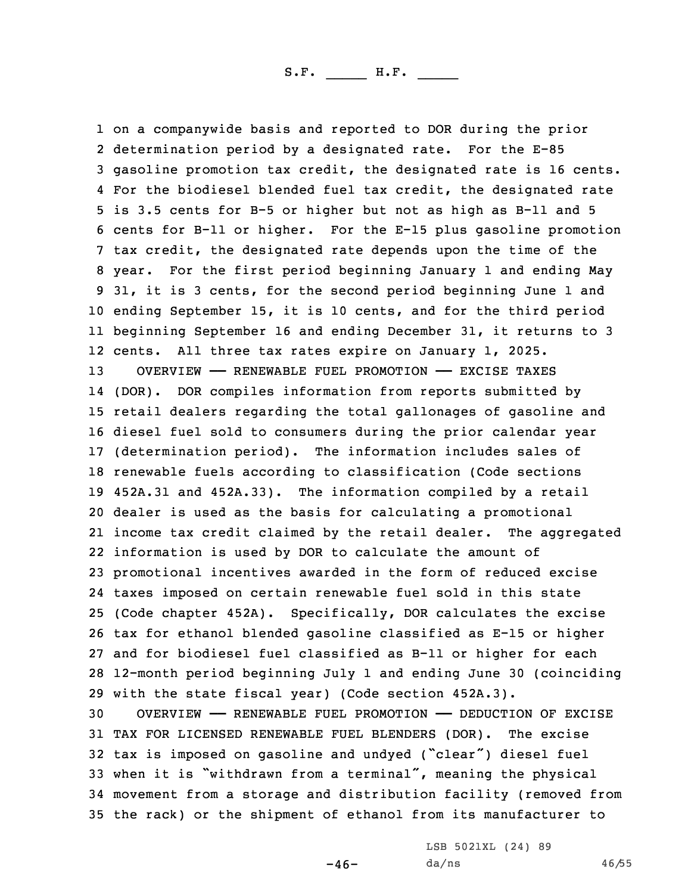on <sup>a</sup> companywide basis and reported to DOR during the prior determination period by <sup>a</sup> designated rate. For the E-85 gasoline promotion tax credit, the designated rate is 16 cents. For the biodiesel blended fuel tax credit, the designated rate is 3.5 cents for B-5 or higher but not as high as B-11 and 5 cents for B-11 or higher. For the E-15 plus gasoline promotion tax credit, the designated rate depends upon the time of the year. For the first period beginning January 1 and ending May 31, it is 3 cents, for the second period beginning June 1 and ending September 15, it is 10 cents, and for the third period beginning September 16 and ending December 31, it returns to 3 cents. All three tax rates expire on January 1, 2025. OVERVIEW —— RENEWABLE FUEL PROMOTION —— EXCISE TAXES (DOR). DOR compiles information from reports submitted by retail dealers regarding the total gallonages of gasoline and diesel fuel sold to consumers during the prior calendar year (determination period). The information includes sales of renewable fuels according to classification (Code sections 452A.31 and 452A.33). The information compiled by <sup>a</sup> retail dealer is used as the basis for calculating <sup>a</sup> promotional income tax credit claimed by the retail dealer. The aggregated information is used by DOR to calculate the amount of promotional incentives awarded in the form of reduced excise taxes imposed on certain renewable fuel sold in this state (Code chapter 452A). Specifically, DOR calculates the excise tax for ethanol blended gasoline classified as E-15 or higher and for biodiesel fuel classified as B-11 or higher for each 12-month period beginning July 1 and ending June 30 (coinciding with the state fiscal year) (Code section 452A.3). OVERVIEW —— RENEWABLE FUEL PROMOTION —— DEDUCTION OF EXCISE

 TAX FOR LICENSED RENEWABLE FUEL BLENDERS (DOR). The excise tax is imposed on gasoline and undyed ("clear") diesel fuel when it is "withdrawn from <sup>a</sup> terminal", meaning the physical movement from <sup>a</sup> storage and distribution facility (removed from the rack) or the shipment of ethanol from its manufacturer to

 $-46-$ 

LSB 5021XL (24) 89 da/ns 46/55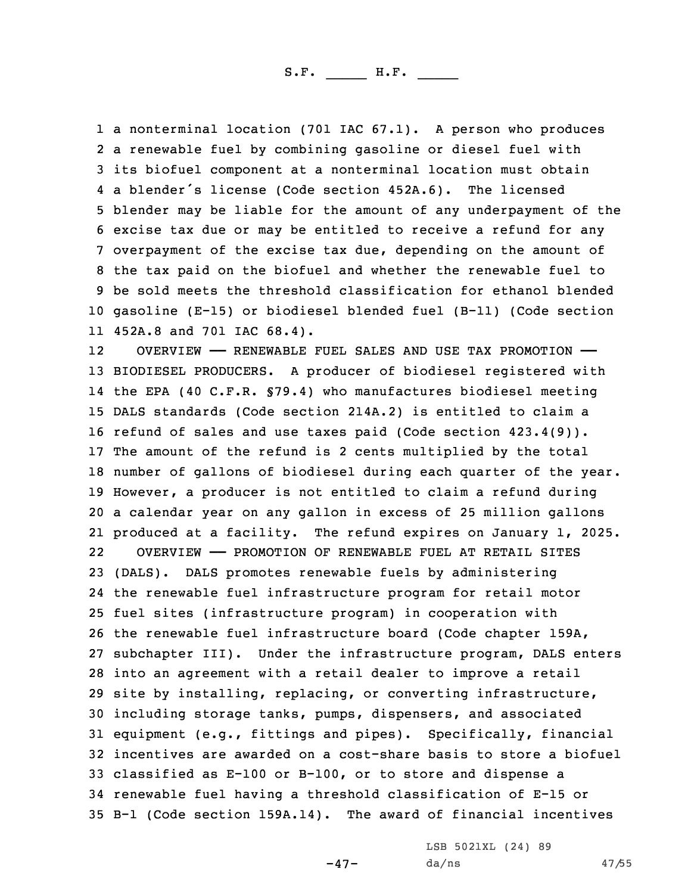<sup>a</sup> nonterminal location (701 IAC 67.1). <sup>A</sup> person who produces <sup>a</sup> renewable fuel by combining gasoline or diesel fuel with its biofuel component at <sup>a</sup> nonterminal location must obtain <sup>a</sup> blender's license (Code section 452A.6). The licensed blender may be liable for the amount of any underpayment of the excise tax due or may be entitled to receive <sup>a</sup> refund for any overpayment of the excise tax due, depending on the amount of the tax paid on the biofuel and whether the renewable fuel to be sold meets the threshold classification for ethanol blended gasoline (E-15) or biodiesel blended fuel (B-11) (Code section 452A.8 and 701 IAC 68.4).

12 OVERVIEW —— RENEWABLE FUEL SALES AND USE TAX PROMOTION —— BIODIESEL PRODUCERS. <sup>A</sup> producer of biodiesel registered with the EPA (40 C.F.R. §79.4) who manufactures biodiesel meeting DALS standards (Code section 214A.2) is entitled to claim <sup>a</sup> refund of sales and use taxes paid (Code section 423.4(9)). The amount of the refund is 2 cents multiplied by the total number of gallons of biodiesel during each quarter of the year. However, <sup>a</sup> producer is not entitled to claim <sup>a</sup> refund during <sup>a</sup> calendar year on any gallon in excess of 25 million gallons produced at <sup>a</sup> facility. The refund expires on January 1, 2025. 22 OVERVIEW —— PROMOTION OF RENEWABLE FUEL AT RETAIL SITES (DALS). DALS promotes renewable fuels by administering the renewable fuel infrastructure program for retail motor fuel sites (infrastructure program) in cooperation with the renewable fuel infrastructure board (Code chapter 159A, subchapter III). Under the infrastructure program, DALS enters into an agreement with <sup>a</sup> retail dealer to improve <sup>a</sup> retail site by installing, replacing, or converting infrastructure, including storage tanks, pumps, dispensers, and associated equipment (e.g., fittings and pipes). Specifically, financial incentives are awarded on <sup>a</sup> cost-share basis to store <sup>a</sup> biofuel classified as E-100 or B-100, or to store and dispense <sup>a</sup> renewable fuel having <sup>a</sup> threshold classification of E-15 or B-1 (Code section 159A.14). The award of financial incentives

-47-

LSB 5021XL (24) 89 da/ns 47/55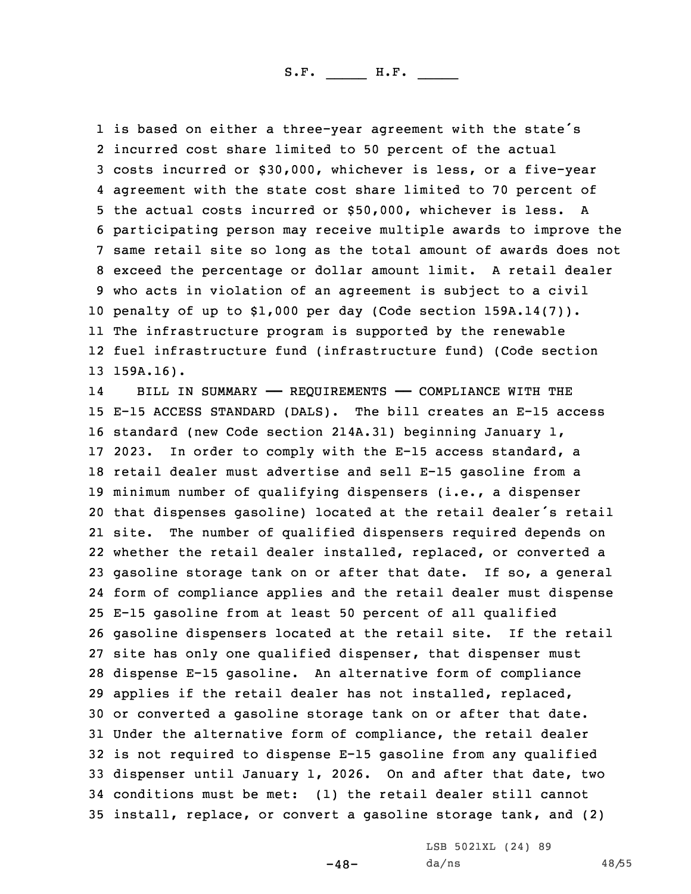is based on either <sup>a</sup> three-year agreement with the state's incurred cost share limited to 50 percent of the actual costs incurred or \$30,000, whichever is less, or <sup>a</sup> five-year agreement with the state cost share limited to 70 percent of the actual costs incurred or \$50,000, whichever is less. A participating person may receive multiple awards to improve the same retail site so long as the total amount of awards does not exceed the percentage or dollar amount limit. <sup>A</sup> retail dealer who acts in violation of an agreement is subject to <sup>a</sup> civil penalty of up to \$1,000 per day (Code section 159A.14(7)). The infrastructure program is supported by the renewable fuel infrastructure fund (infrastructure fund) (Code section 159A.16).

14 BILL IN SUMMARY —— REQUIREMENTS —— COMPLIANCE WITH THE E-15 ACCESS STANDARD (DALS). The bill creates an E-15 access standard (new Code section 214A.31) beginning January 1, 2023. In order to comply with the E-15 access standard, <sup>a</sup> retail dealer must advertise and sell E-15 gasoline from <sup>a</sup> minimum number of qualifying dispensers (i.e., <sup>a</sup> dispenser that dispenses gasoline) located at the retail dealer's retail site. The number of qualified dispensers required depends on whether the retail dealer installed, replaced, or converted <sup>a</sup> gasoline storage tank on or after that date. If so, <sup>a</sup> general form of compliance applies and the retail dealer must dispense E-15 gasoline from at least 50 percent of all qualified gasoline dispensers located at the retail site. If the retail site has only one qualified dispenser, that dispenser must dispense E-15 gasoline. An alternative form of compliance applies if the retail dealer has not installed, replaced, or converted <sup>a</sup> gasoline storage tank on or after that date. Under the alternative form of compliance, the retail dealer is not required to dispense E-15 gasoline from any qualified dispenser until January 1, 2026. On and after that date, two conditions must be met: (1) the retail dealer still cannot install, replace, or convert <sup>a</sup> gasoline storage tank, and (2)

 $-48-$ 

LSB 5021XL (24) 89 da/ns 48/55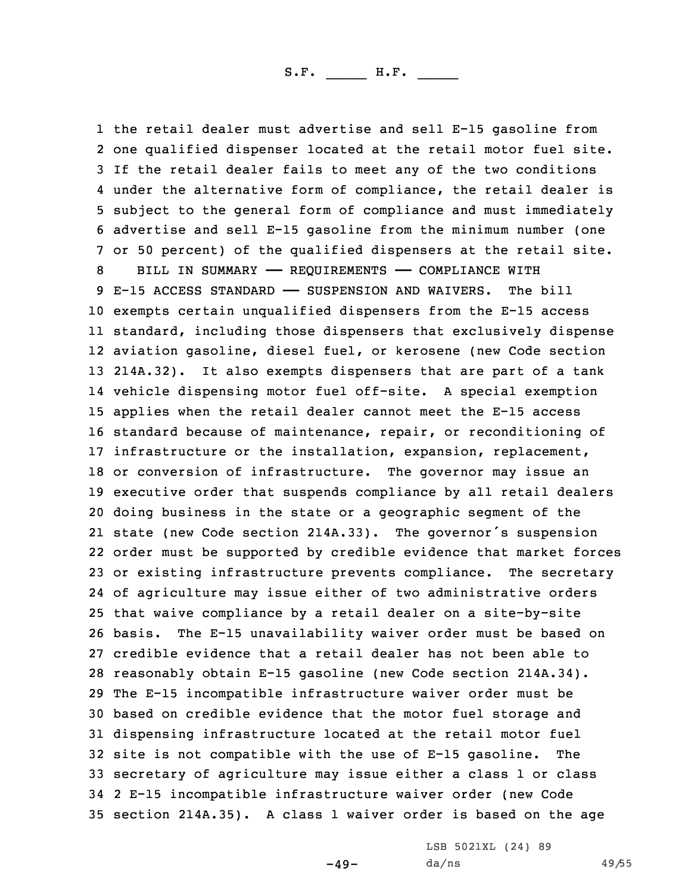the retail dealer must advertise and sell E-15 gasoline from one qualified dispenser located at the retail motor fuel site. If the retail dealer fails to meet any of the two conditions under the alternative form of compliance, the retail dealer is subject to the general form of compliance and must immediately advertise and sell E-15 gasoline from the minimum number (one or 50 percent) of the qualified dispensers at the retail site. 8 BILL IN SUMMARY - REQUIREMENTS - COMPLIANCE WITH E-15 ACCESS STANDARD —— SUSPENSION AND WAIVERS. The bill exempts certain unqualified dispensers from the E-15 access standard, including those dispensers that exclusively dispense aviation gasoline, diesel fuel, or kerosene (new Code section 214A.32). It also exempts dispensers that are part of <sup>a</sup> tank vehicle dispensing motor fuel off-site. <sup>A</sup> special exemption applies when the retail dealer cannot meet the E-15 access standard because of maintenance, repair, or reconditioning of infrastructure or the installation, expansion, replacement, or conversion of infrastructure. The governor may issue an executive order that suspends compliance by all retail dealers doing business in the state or <sup>a</sup> geographic segment of the state (new Code section 214A.33). The governor's suspension order must be supported by credible evidence that market forces or existing infrastructure prevents compliance. The secretary of agriculture may issue either of two administrative orders that waive compliance by <sup>a</sup> retail dealer on <sup>a</sup> site-by-site basis. The E-15 unavailability waiver order must be based on credible evidence that <sup>a</sup> retail dealer has not been able to reasonably obtain E-15 gasoline (new Code section 214A.34). The E-15 incompatible infrastructure waiver order must be based on credible evidence that the motor fuel storage and dispensing infrastructure located at the retail motor fuel site is not compatible with the use of E-15 gasoline. The secretary of agriculture may issue either <sup>a</sup> class 1 or class 2 E-15 incompatible infrastructure waiver order (new Code section 214A.35). <sup>A</sup> class 1 waiver order is based on the age

 $-49-$ 

LSB 5021XL (24) 89 da/ns 49/55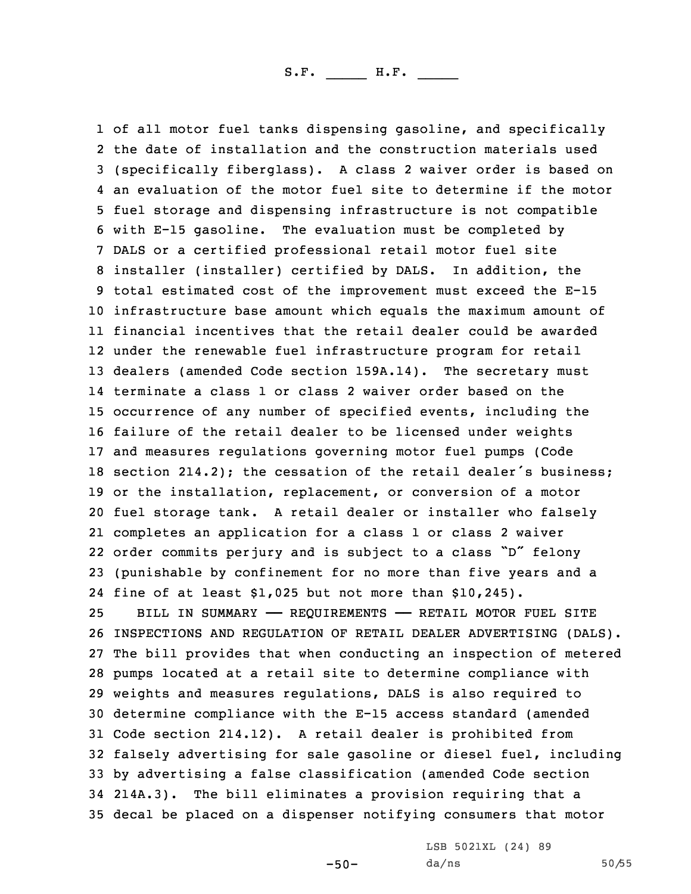1 of all motor fuel tanks dispensing gasoline, and specifically the date of installation and the construction materials used (specifically fiberglass). <sup>A</sup> class 2 waiver order is based on an evaluation of the motor fuel site to determine if the motor fuel storage and dispensing infrastructure is not compatible with E-15 gasoline. The evaluation must be completed by DALS or <sup>a</sup> certified professional retail motor fuel site installer (installer) certified by DALS. In addition, the total estimated cost of the improvement must exceed the E-15 infrastructure base amount which equals the maximum amount of financial incentives that the retail dealer could be awarded under the renewable fuel infrastructure program for retail dealers (amended Code section 159A.14). The secretary must terminate <sup>a</sup> class 1 or class 2 waiver order based on the occurrence of any number of specified events, including the failure of the retail dealer to be licensed under weights and measures regulations governing motor fuel pumps (Code section 214.2); the cessation of the retail dealer's business; or the installation, replacement, or conversion of <sup>a</sup> motor fuel storage tank. <sup>A</sup> retail dealer or installer who falsely completes an application for <sup>a</sup> class 1 or class 2 waiver order commits perjury and is subject to <sup>a</sup> class "D" felony (punishable by confinement for no more than five years and <sup>a</sup> fine of at least \$1,025 but not more than \$10,245). BILL IN SUMMARY —— REQUIREMENTS —— RETAIL MOTOR FUEL SITE INSPECTIONS AND REGULATION OF RETAIL DEALER ADVERTISING (DALS). The bill provides that when conducting an inspection of metered pumps located at <sup>a</sup> retail site to determine compliance with weights and measures regulations, DALS is also required to determine compliance with the E-15 access standard (amended Code section 214.12). <sup>A</sup> retail dealer is prohibited from falsely advertising for sale gasoline or diesel fuel, including by advertising <sup>a</sup> false classification (amended Code section 214A.3). The bill eliminates <sup>a</sup> provision requiring that <sup>a</sup>

35 decal be placed on <sup>a</sup> dispenser notifying consumers that motor

LSB 5021XL (24) 89 da/ns 50/55

-50-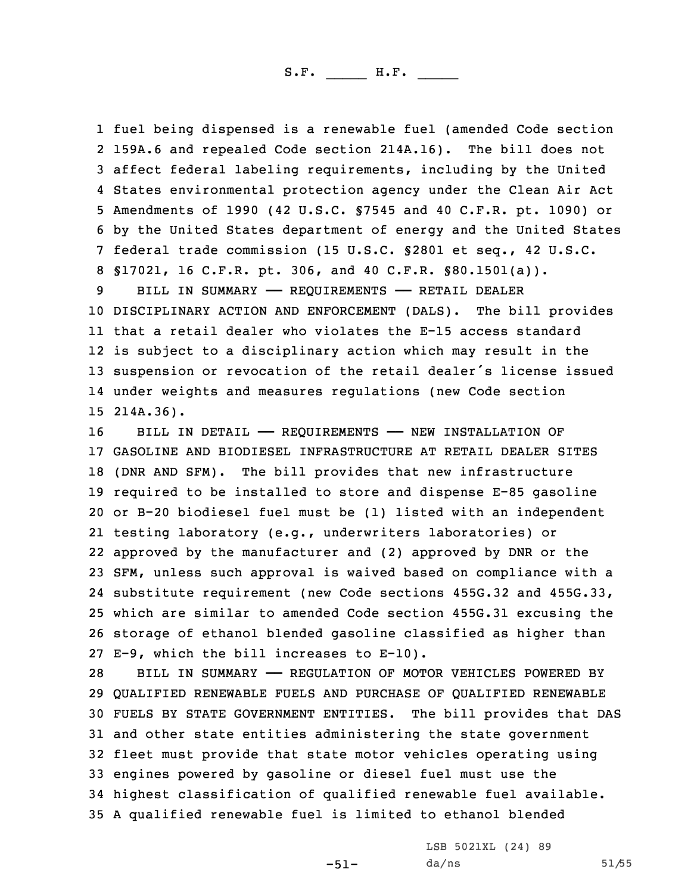fuel being dispensed is <sup>a</sup> renewable fuel (amended Code section 159A.6 and repealed Code section 214A.16). The bill does not affect federal labeling requirements, including by the United States environmental protection agency under the Clean Air Act Amendments of 1990 (42 U.S.C. §7545 and 40 C.F.R. pt. 1090) or by the United States department of energy and the United States federal trade commission (15 U.S.C. §2801 et seq., 42 U.S.C. §17021, 16 C.F.R. pt. 306, and 40 C.F.R. §80.1501(a)).

9 BILL IN SUMMARY - REQUIREMENTS - RETAIL DEALER DISCIPLINARY ACTION AND ENFORCEMENT (DALS). The bill provides that <sup>a</sup> retail dealer who violates the E-15 access standard is subject to <sup>a</sup> disciplinary action which may result in the suspension or revocation of the retail dealer's license issued under weights and measures regulations (new Code section 214A.36).

16 BILL IN DETAIL - REQUIREMENTS - NEW INSTALLATION OF GASOLINE AND BIODIESEL INFRASTRUCTURE AT RETAIL DEALER SITES (DNR AND SFM). The bill provides that new infrastructure required to be installed to store and dispense E-85 gasoline or B-20 biodiesel fuel must be (1) listed with an independent testing laboratory (e.g., underwriters laboratories) or approved by the manufacturer and (2) approved by DNR or the SFM, unless such approval is waived based on compliance with <sup>a</sup> substitute requirement (new Code sections 455G.32 and 455G.33, which are similar to amended Code section 455G.31 excusing the storage of ethanol blended gasoline classified as higher than E-9, which the bill increases to E-10).

28 BILL IN SUMMARY - REGULATION OF MOTOR VEHICLES POWERED BY QUALIFIED RENEWABLE FUELS AND PURCHASE OF QUALIFIED RENEWABLE FUELS BY STATE GOVERNMENT ENTITIES. The bill provides that DAS and other state entities administering the state government fleet must provide that state motor vehicles operating using engines powered by gasoline or diesel fuel must use the highest classification of qualified renewable fuel available. <sup>A</sup> qualified renewable fuel is limited to ethanol blended

-51-

LSB 5021XL (24) 89 da/ns 51/55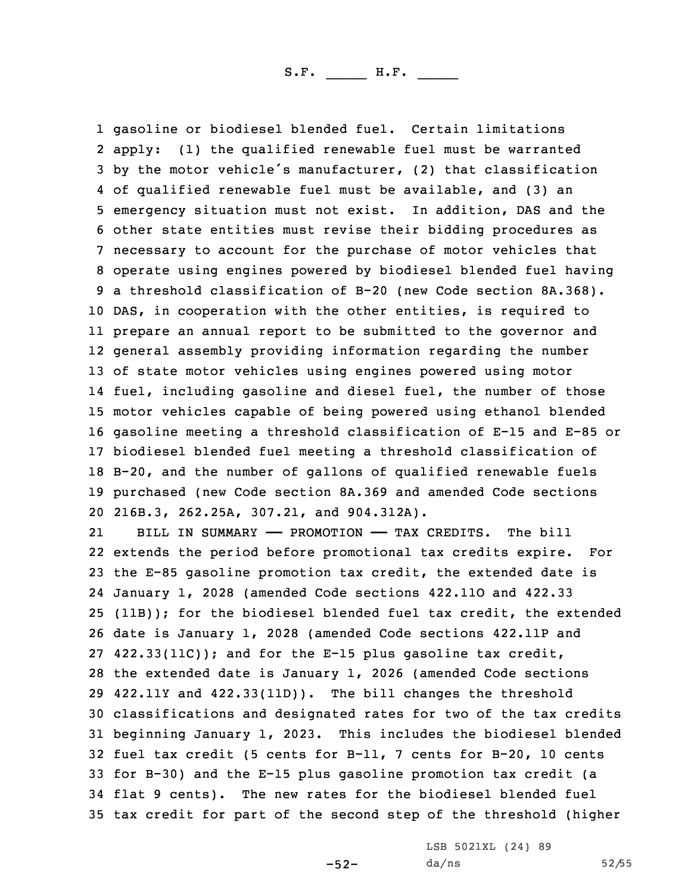gasoline or biodiesel blended fuel. Certain limitations apply: (1) the qualified renewable fuel must be warranted by the motor vehicle's manufacturer, (2) that classification of qualified renewable fuel must be available, and (3) an emergency situation must not exist. In addition, DAS and the other state entities must revise their bidding procedures as necessary to account for the purchase of motor vehicles that operate using engines powered by biodiesel blended fuel having <sup>a</sup> threshold classification of B-20 (new Code section 8A.368). DAS, in cooperation with the other entities, is required to prepare an annual report to be submitted to the governor and general assembly providing information regarding the number of state motor vehicles using engines powered using motor fuel, including gasoline and diesel fuel, the number of those motor vehicles capable of being powered using ethanol blended gasoline meeting <sup>a</sup> threshold classification of E-15 and E-85 or biodiesel blended fuel meeting <sup>a</sup> threshold classification of B-20, and the number of gallons of qualified renewable fuels purchased (new Code section 8A.369 and amended Code sections 216B.3, 262.25A, 307.21, and 904.312A).

21 BILL IN SUMMARY —— PROMOTION —— TAX CREDITS. The bill extends the period before promotional tax credits expire. For the E-85 gasoline promotion tax credit, the extended date is January 1, 2028 (amended Code sections 422.11O and 422.33 (11B)); for the biodiesel blended fuel tax credit, the extended date is January 1, 2028 (amended Code sections 422.11P and 422.33(11C)); and for the E-15 plus gasoline tax credit, the extended date is January 1, 2026 (amended Code sections 422.11Y and 422.33(11D)). The bill changes the threshold classifications and designated rates for two of the tax credits beginning January 1, 2023. This includes the biodiesel blended fuel tax credit (5 cents for B-11, 7 cents for B-20, 10 cents for B-30) and the E-15 plus gasoline promotion tax credit (a flat 9 cents). The new rates for the biodiesel blended fuel tax credit for part of the second step of the threshold (higher

> LSB 5021XL (24) 89 da/ns 52/55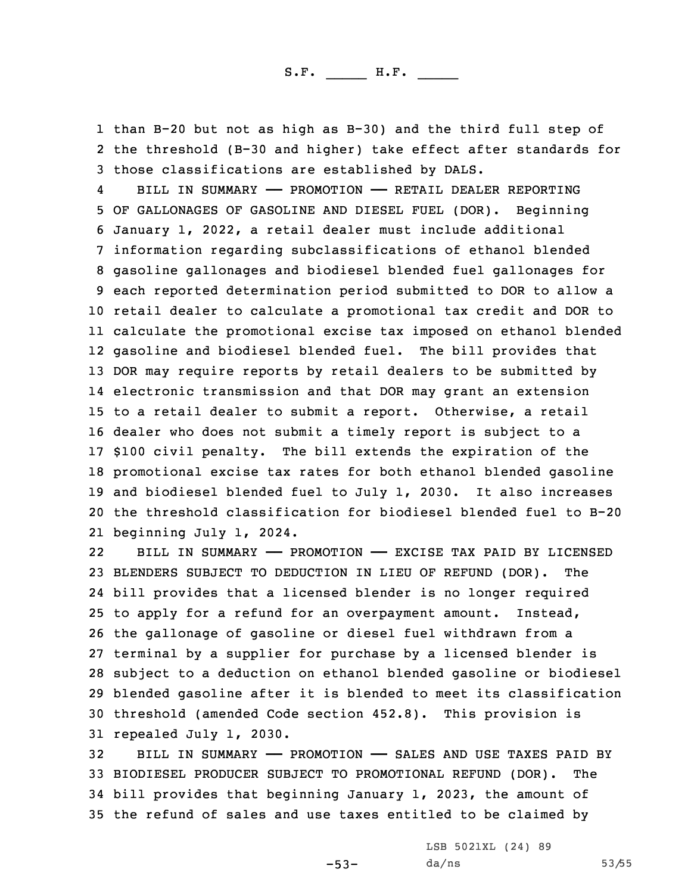1 than B-20 but not as high as B-30) and the third full step of 2 the threshold (B-30 and higher) take effect after standards for 3 those classifications are established by DALS.

4 BILL IN SUMMARY —— PROMOTION —— RETAIL DEALER REPORTING OF GALLONAGES OF GASOLINE AND DIESEL FUEL (DOR). Beginning January 1, 2022, <sup>a</sup> retail dealer must include additional information regarding subclassifications of ethanol blended gasoline gallonages and biodiesel blended fuel gallonages for each reported determination period submitted to DOR to allow <sup>a</sup> retail dealer to calculate <sup>a</sup> promotional tax credit and DOR to calculate the promotional excise tax imposed on ethanol blended gasoline and biodiesel blended fuel. The bill provides that DOR may require reports by retail dealers to be submitted by electronic transmission and that DOR may grant an extension to <sup>a</sup> retail dealer to submit <sup>a</sup> report. Otherwise, <sup>a</sup> retail dealer who does not submit <sup>a</sup> timely report is subject to <sup>a</sup> \$100 civil penalty. The bill extends the expiration of the promotional excise tax rates for both ethanol blended gasoline and biodiesel blended fuel to July 1, 2030. It also increases the threshold classification for biodiesel blended fuel to B-20 beginning July 1, 2024.

22 BILL IN SUMMARY —— PROMOTION —— EXCISE TAX PAID BY LICENSED BLENDERS SUBJECT TO DEDUCTION IN LIEU OF REFUND (DOR). The bill provides that <sup>a</sup> licensed blender is no longer required to apply for <sup>a</sup> refund for an overpayment amount. Instead, the gallonage of gasoline or diesel fuel withdrawn from <sup>a</sup> terminal by <sup>a</sup> supplier for purchase by <sup>a</sup> licensed blender is subject to <sup>a</sup> deduction on ethanol blended gasoline or biodiesel blended gasoline after it is blended to meet its classification threshold (amended Code section 452.8). This provision is repealed July 1, 2030.

 BILL IN SUMMARY —— PROMOTION —— SALES AND USE TAXES PAID BY BIODIESEL PRODUCER SUBJECT TO PROMOTIONAL REFUND (DOR). The bill provides that beginning January 1, 2023, the amount of the refund of sales and use taxes entitled to be claimed by

LSB 5021XL (24) 89

 $-53-$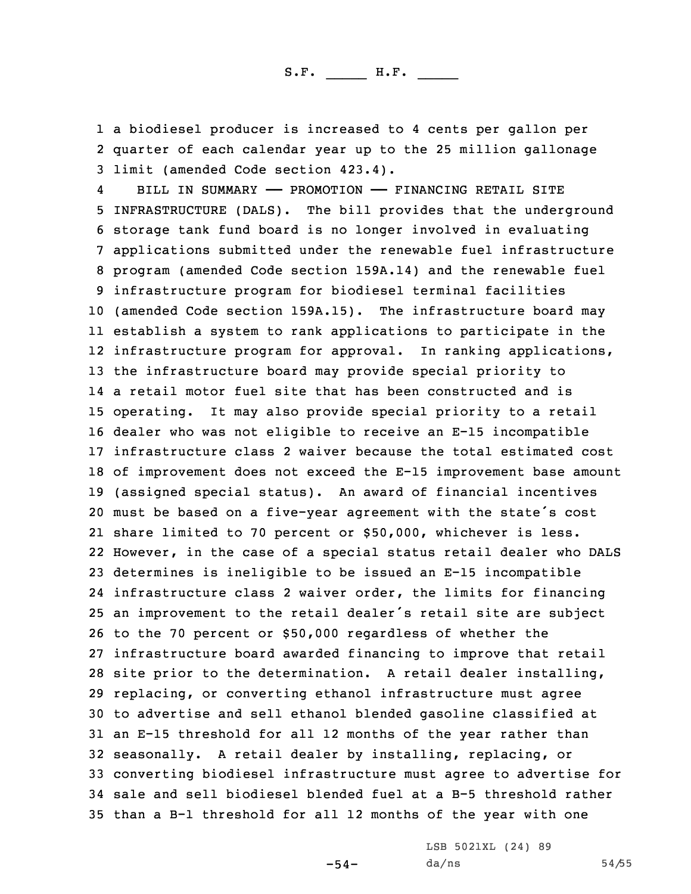1 <sup>a</sup> biodiesel producer is increased to 4 cents per gallon per 2 quarter of each calendar year up to the 25 million gallonage 3 limit (amended Code section 423.4).

4 BILL IN SUMMARY —— PROMOTION —— FINANCING RETAIL SITE INFRASTRUCTURE (DALS). The bill provides that the underground storage tank fund board is no longer involved in evaluating applications submitted under the renewable fuel infrastructure program (amended Code section 159A.14) and the renewable fuel infrastructure program for biodiesel terminal facilities (amended Code section 159A.15). The infrastructure board may establish <sup>a</sup> system to rank applications to participate in the infrastructure program for approval. In ranking applications, the infrastructure board may provide special priority to <sup>a</sup> retail motor fuel site that has been constructed and is operating. It may also provide special priority to <sup>a</sup> retail dealer who was not eligible to receive an E-15 incompatible infrastructure class 2 waiver because the total estimated cost of improvement does not exceed the E-15 improvement base amount (assigned special status). An award of financial incentives must be based on <sup>a</sup> five-year agreement with the state's cost share limited to 70 percent or \$50,000, whichever is less. However, in the case of <sup>a</sup> special status retail dealer who DALS determines is ineligible to be issued an E-15 incompatible infrastructure class 2 waiver order, the limits for financing an improvement to the retail dealer's retail site are subject to the 70 percent or \$50,000 regardless of whether the infrastructure board awarded financing to improve that retail site prior to the determination. <sup>A</sup> retail dealer installing, replacing, or converting ethanol infrastructure must agree to advertise and sell ethanol blended gasoline classified at an E-15 threshold for all 12 months of the year rather than seasonally. <sup>A</sup> retail dealer by installing, replacing, or converting biodiesel infrastructure must agree to advertise for sale and sell biodiesel blended fuel at <sup>a</sup> B-5 threshold rather than <sup>a</sup> B-1 threshold for all 12 months of the year with one

-54-

LSB 5021XL (24) 89 da/ns 54/55